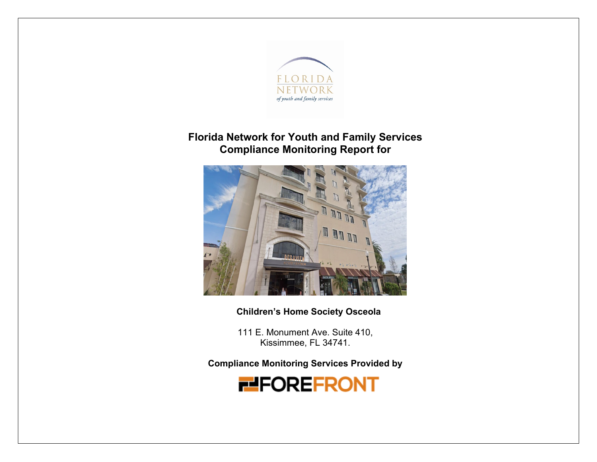

# **Florida Network for Youth and Family Services Compliance Monitoring Report for**



**Children's Home Society Osceola**

111 E. Monument Ave. Suite 410, Kissimmee, FL 34741.

**Compliance Monitoring Services Provided by** 

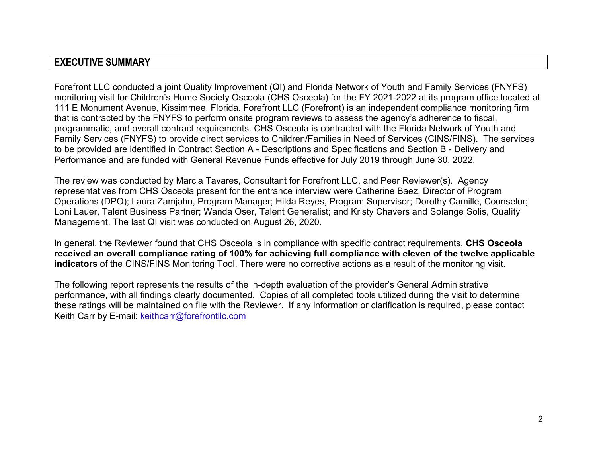# **EXECUTIVE SUMMARY**

Forefront LLC conducted a joint Quality Improvement (QI) and Florida Network of Youth and Family Services (FNYFS) monitoring visit for Children's Home Society Osceola (CHS Osceola) for the FY 2021-2022 at its program office located at 111 E Monument Avenue, Kissimmee, Florida. Forefront LLC (Forefront) is an independent compliance monitoring firm that is contracted by the FNYFS to perform onsite program reviews to assess the agency's adherence to fiscal, programmatic, and overall contract requirements. CHS Osceola is contracted with the Florida Network of Youth and Family Services (FNYFS) to provide direct services to Children/Families in Need of Services (CINS/FINS). The services to be provided are identified in Contract Section A - Descriptions and Specifications and Section B - Delivery and Performance and are funded with General Revenue Funds effective for July 2019 through June 30, 2022.

The review was conducted by Marcia Tavares, Consultant for Forefront LLC, and Peer Reviewer(s). Agency representatives from CHS Osceola present for the entrance interview were Catherine Baez, Director of Program Operations (DPO); Laura Zamjahn, Program Manager; Hilda Reyes, Program Supervisor; Dorothy Camille, Counselor; Loni Lauer, Talent Business Partner; Wanda Oser, Talent Generalist; and Kristy Chavers and Solange Solis, Quality Management. The last QI visit was conducted on August 26, 2020.

In general, the Reviewer found that CHS Osceola is in compliance with specific contract requirements. **CHS Osceola received an overall compliance rating of 100% for achieving full compliance with eleven of the twelve applicable indicators** of the CINS/FINS Monitoring Tool. There were no corrective actions as a result of the monitoring visit.

The following report represents the results of the in-depth evaluation of the provider's General Administrative performance, with all findings clearly documented. Copies of all completed tools utilized during the visit to determine these ratings will be maintained on file with the Reviewer. If any information or clarification is required, please contact Keith Carr by E-mail: keithcarr@forefrontllc.com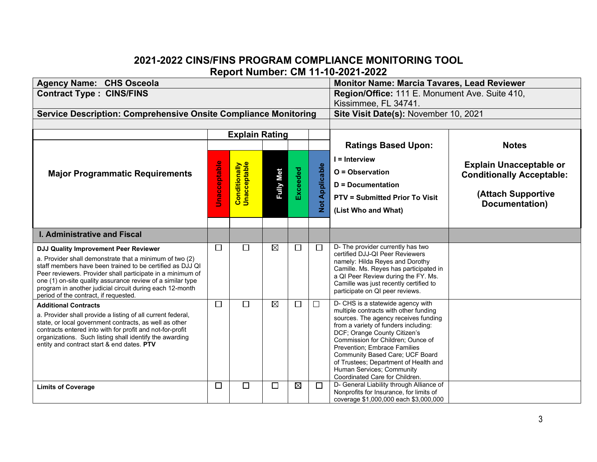## **2021-2022 CINS/FINS PROGRAM COMPLIANCE MONITORING TOOL Report Number: CM 11-10-2021-2022**

| <b>Agency Name: CHS Osceola</b>                                                                                                                                                                                                                                                                                                                                                                       |                     | <b>Monitor Name: Marcia Tavares, Lead Reviewer</b> |             |             |                          |                                                                                                                                                                                                                                                                                                                                                                                                            |                                                                                                            |
|-------------------------------------------------------------------------------------------------------------------------------------------------------------------------------------------------------------------------------------------------------------------------------------------------------------------------------------------------------------------------------------------------------|---------------------|----------------------------------------------------|-------------|-------------|--------------------------|------------------------------------------------------------------------------------------------------------------------------------------------------------------------------------------------------------------------------------------------------------------------------------------------------------------------------------------------------------------------------------------------------------|------------------------------------------------------------------------------------------------------------|
| <b>Contract Type: CINS/FINS</b>                                                                                                                                                                                                                                                                                                                                                                       |                     | Region/Office: 111 E. Monument Ave. Suite 410,     |             |             |                          |                                                                                                                                                                                                                                                                                                                                                                                                            |                                                                                                            |
|                                                                                                                                                                                                                                                                                                                                                                                                       |                     | Kissimmee, FL 34741.                               |             |             |                          |                                                                                                                                                                                                                                                                                                                                                                                                            |                                                                                                            |
| <b>Service Description: Comprehensive Onsite Compliance Monitoring</b>                                                                                                                                                                                                                                                                                                                                |                     |                                                    |             |             |                          | Site Visit Date(s): November 10, 2021                                                                                                                                                                                                                                                                                                                                                                      |                                                                                                            |
|                                                                                                                                                                                                                                                                                                                                                                                                       |                     |                                                    |             |             |                          |                                                                                                                                                                                                                                                                                                                                                                                                            |                                                                                                            |
|                                                                                                                                                                                                                                                                                                                                                                                                       |                     | <b>Explain Rating</b>                              |             |             |                          |                                                                                                                                                                                                                                                                                                                                                                                                            |                                                                                                            |
|                                                                                                                                                                                                                                                                                                                                                                                                       |                     |                                                    |             |             |                          | <b>Ratings Based Upon:</b>                                                                                                                                                                                                                                                                                                                                                                                 | <b>Notes</b>                                                                                               |
| <b>Major Programmatic Requirements</b>                                                                                                                                                                                                                                                                                                                                                                | <b>Unacceptable</b> | <b>Conditionally</b><br>Unacceptable               |             | Exceeded    | Applicable<br><b>Not</b> | $I = Interview$<br>$O = Observation$<br><b>D</b> = Documentation<br><b>PTV = Submitted Prior To Visit</b><br>(List Who and What)                                                                                                                                                                                                                                                                           | <b>Explain Unacceptable or</b><br><b>Conditionally Acceptable:</b><br>(Attach Supportive<br>Documentation) |
|                                                                                                                                                                                                                                                                                                                                                                                                       |                     |                                                    |             |             |                          |                                                                                                                                                                                                                                                                                                                                                                                                            |                                                                                                            |
| <b>I. Administrative and Fiscal</b>                                                                                                                                                                                                                                                                                                                                                                   |                     |                                                    |             |             |                          |                                                                                                                                                                                                                                                                                                                                                                                                            |                                                                                                            |
| <b>DJJ Quality Improvement Peer Reviewer</b><br>a. Provider shall demonstrate that a minimum of two (2)<br>staff members have been trained to be certified as DJJ QI<br>Peer reviewers. Provider shall participate in a minimum of<br>one (1) on-site quality assurance review of a similar type<br>program in another judicial circuit during each 12-month<br>period of the contract, if requested. | $\Box$              | $\Box$                                             | $\boxtimes$ | $\Box$      | П                        | D- The provider currently has two<br>certified DJJ-QI Peer Reviewers<br>namely: Hilda Reyes and Dorothy<br>Camille. Ms. Reyes has participated in<br>a QI Peer Review during the FY. Ms.<br>Camille was just recently certified to<br>participate on QI peer reviews.                                                                                                                                      |                                                                                                            |
| <b>Additional Contracts</b><br>a. Provider shall provide a listing of all current federal,<br>state, or local government contracts, as well as other<br>contracts entered into with for profit and not-for-profit<br>organizations. Such listing shall identify the awarding<br>entity and contract start & end dates. PTV                                                                            | □                   | $\Box$                                             | $\boxtimes$ | $\Box$      | $\Box$                   | D- CHS is a statewide agency with<br>multiple contracts with other funding<br>sources. The agency receives funding<br>from a variety of funders including:<br>DCF; Orange County Citizen's<br>Commission for Children; Ounce of<br>Prevention; Embrace Families<br>Community Based Care; UCF Board<br>of Trustees; Department of Health and<br>Human Services; Community<br>Coordinated Care for Children. |                                                                                                            |
| <b>Limits of Coverage</b>                                                                                                                                                                                                                                                                                                                                                                             | $\Box$              | $\Box$                                             | $\Box$      | $\boxtimes$ | $\Box$                   | D- General Liability through Alliance of<br>Nonprofits for Insurance, for limits of<br>coverage \$1,000,000 each \$3,000,000                                                                                                                                                                                                                                                                               |                                                                                                            |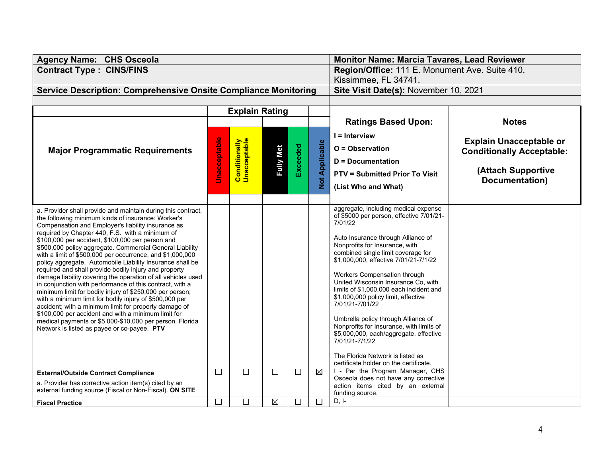| <b>Agency Name: CHS Osceola</b>                                                                                     |                     | Monitor Name: Marcia Tavares, Lead Reviewer    |                      |          |                       |                                                                                  |                                  |
|---------------------------------------------------------------------------------------------------------------------|---------------------|------------------------------------------------|----------------------|----------|-----------------------|----------------------------------------------------------------------------------|----------------------------------|
| <b>Contract Type: CINS/FINS</b>                                                                                     |                     | Region/Office: 111 E. Monument Ave. Suite 410, |                      |          |                       |                                                                                  |                                  |
|                                                                                                                     |                     |                                                | Kissimmee, FL 34741. |          |                       |                                                                                  |                                  |
| <b>Service Description: Comprehensive Onsite Compliance Monitoring</b>                                              |                     | Site Visit Date(s): November 10, 2021          |                      |          |                       |                                                                                  |                                  |
|                                                                                                                     |                     |                                                |                      |          |                       |                                                                                  |                                  |
|                                                                                                                     |                     | <b>Explain Rating</b>                          |                      |          |                       |                                                                                  |                                  |
|                                                                                                                     |                     |                                                |                      |          |                       | <b>Ratings Based Upon:</b>                                                       | <b>Notes</b>                     |
|                                                                                                                     |                     |                                                |                      |          |                       | $I =$ Interview                                                                  | <b>Explain Unacceptable or</b>   |
| <b>Major Programmatic Requirements</b>                                                                              | <b>Unacceptable</b> | <b>Conditionally</b><br>Unacceptable           |                      |          | <b>Not Applicable</b> | O = Observation                                                                  | <b>Conditionally Acceptable:</b> |
|                                                                                                                     |                     |                                                | <b>Fully Met</b>     | Exceeded |                       | <b>D</b> = Documentation                                                         |                                  |
|                                                                                                                     |                     |                                                |                      |          |                       | <b>PTV = Submitted Prior To Visit</b>                                            | (Attach Supportive               |
|                                                                                                                     |                     |                                                |                      |          |                       |                                                                                  | Documentation)                   |
|                                                                                                                     |                     |                                                |                      |          |                       | (List Who and What)                                                              |                                  |
|                                                                                                                     |                     |                                                |                      |          |                       |                                                                                  |                                  |
| a. Provider shall provide and maintain during this contract,                                                        |                     |                                                |                      |          |                       | aggregate, including medical expense<br>of \$5000 per person, effective 7/01/21- |                                  |
| the following minimum kinds of insurance: Worker's<br>Compensation and Employer's liability insurance as            |                     |                                                |                      |          |                       | 7/01/22                                                                          |                                  |
| required by Chapter 440, F.S. with a minimum of                                                                     |                     |                                                |                      |          |                       | Auto Insurance through Alliance of                                               |                                  |
| \$100,000 per accident, \$100,000 per person and<br>\$500,000 policy aggregate. Commercial General Liability        |                     |                                                |                      |          |                       | Nonprofits for Insurance, with                                                   |                                  |
| with a limit of \$500,000 per occurrence, and \$1,000,000                                                           |                     |                                                |                      |          |                       | combined single limit coverage for                                               |                                  |
| policy aggregate. Automobile Liability Insurance shall be<br>required and shall provide bodily injury and property  |                     |                                                |                      |          |                       | \$1,000,000, effective 7/01/21-7/1/22                                            |                                  |
| damage liability covering the operation of all vehicles used                                                        |                     |                                                |                      |          |                       | Workers Compensation through                                                     |                                  |
| in conjunction with performance of this contract, with a                                                            |                     |                                                |                      |          |                       | United Wisconsin Insurance Co, with<br>limits of \$1,000,000 each incident and   |                                  |
| minimum limit for bodily injury of \$250,000 per person;<br>with a minimum limit for bodily injury of \$500,000 per |                     |                                                |                      |          |                       | \$1,000,000 policy limit, effective                                              |                                  |
| accident; with a minimum limit for property damage of                                                               |                     |                                                |                      |          |                       | 7/01/21-7/01/22                                                                  |                                  |
| \$100,000 per accident and with a minimum limit for<br>medical payments or \$5,000-\$10,000 per person. Florida     |                     |                                                |                      |          |                       | Umbrella policy through Alliance of                                              |                                  |
| Network is listed as payee or co-payee. PTV                                                                         |                     |                                                |                      |          |                       | Nonprofits for Insurance, with limits of                                         |                                  |
|                                                                                                                     |                     |                                                |                      |          |                       | \$5,000,000, each/aggregate, effective<br>7/01/21-7/1/22                         |                                  |
|                                                                                                                     |                     |                                                |                      |          |                       |                                                                                  |                                  |
|                                                                                                                     |                     |                                                |                      |          |                       | The Florida Network is listed as<br>certificate holder on the certificate.       |                                  |
| <b>External/Outside Contract Compliance</b>                                                                         | □                   | $\Box$                                         | $\Box$               | □        | $\boxtimes$           | I - Per the Program Manager, CHS                                                 |                                  |
| a. Provider has corrective action item(s) cited by an                                                               |                     |                                                |                      |          |                       | Osceola does not have any corrective                                             |                                  |
| external funding source (Fiscal or Non-Fiscal). ON SITE                                                             |                     |                                                |                      |          |                       | action items cited by an external<br>funding source.                             |                                  |
| <b>Fiscal Practice</b>                                                                                              | $\Box$              | $\Box$                                         | $\boxtimes$          | $\Box$   | $\Box$                | $D, I-$                                                                          |                                  |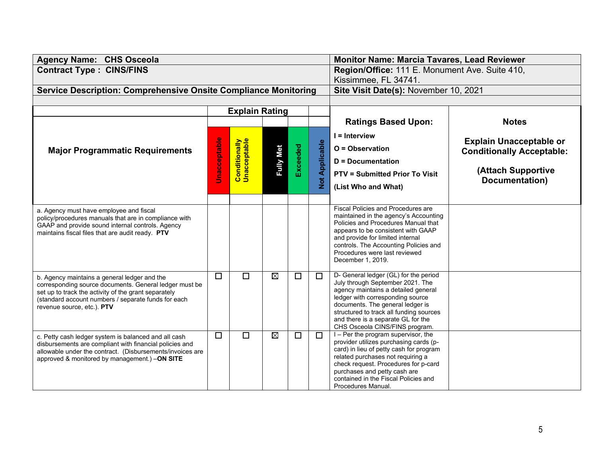| <b>Agency Name: CHS Osceola</b>                                                                                      |              | <b>Monitor Name: Marcia Tavares, Lead Reviewer</b> |                                       |          |                 |                                                                                 |                                  |
|----------------------------------------------------------------------------------------------------------------------|--------------|----------------------------------------------------|---------------------------------------|----------|-----------------|---------------------------------------------------------------------------------|----------------------------------|
| <b>Contract Type: CINS/FINS</b>                                                                                      |              | Region/Office: 111 E. Monument Ave. Suite 410,     |                                       |          |                 |                                                                                 |                                  |
|                                                                                                                      |              | Kissimmee, FL 34741.                               |                                       |          |                 |                                                                                 |                                  |
| <b>Service Description: Comprehensive Onsite Compliance Monitoring</b>                                               |              |                                                    | Site Visit Date(s): November 10, 2021 |          |                 |                                                                                 |                                  |
|                                                                                                                      |              | <b>Explain Rating</b>                              |                                       |          |                 |                                                                                 |                                  |
|                                                                                                                      |              |                                                    |                                       |          |                 | <b>Ratings Based Upon:</b>                                                      | <b>Notes</b>                     |
|                                                                                                                      |              |                                                    |                                       |          |                 |                                                                                 |                                  |
|                                                                                                                      |              |                                                    |                                       |          | $I =$ Interview | <b>Explain Unacceptable or</b>                                                  |                                  |
| <b>Major Programmatic Requirements</b>                                                                               |              |                                                    |                                       | Exceeded |                 | $O = Observation$                                                               | <b>Conditionally Acceptable:</b> |
|                                                                                                                      |              |                                                    | <b>Fully Met</b>                      |          |                 | <b>D</b> = Documentation                                                        |                                  |
|                                                                                                                      | Jnacceptable | <b>Conditionally</b><br>Unacceptable               |                                       |          | Not Applicable  | <b>PTV = Submitted Prior To Visit</b>                                           | (Attach Supportive               |
|                                                                                                                      |              |                                                    |                                       |          |                 | (List Who and What)                                                             | Documentation)                   |
|                                                                                                                      |              |                                                    |                                       |          |                 |                                                                                 |                                  |
|                                                                                                                      |              |                                                    |                                       |          |                 | <b>Fiscal Policies and Procedures are</b>                                       |                                  |
| a. Agency must have employee and fiscal<br>policy/procedures manuals that are in compliance with                     |              |                                                    |                                       |          |                 | maintained in the agency's Accounting                                           |                                  |
| GAAP and provide sound internal controls. Agency<br>maintains fiscal files that are audit ready. PTV                 |              |                                                    |                                       |          |                 | Policies and Procedures Manual that<br>appears to be consistent with GAAP       |                                  |
|                                                                                                                      |              |                                                    |                                       |          |                 | and provide for limited internal                                                |                                  |
|                                                                                                                      |              |                                                    |                                       |          |                 | controls. The Accounting Policies and<br>Procedures were last reviewed          |                                  |
|                                                                                                                      |              |                                                    |                                       |          |                 | December 1, 2019.                                                               |                                  |
|                                                                                                                      | $\Box$       | $\Box$                                             | $\boxtimes$                           | $\Box$   | П               | D- General ledger (GL) for the period                                           |                                  |
| b. Agency maintains a general ledger and the<br>corresponding source documents. General ledger must be               |              |                                                    |                                       |          |                 | July through September 2021. The                                                |                                  |
| set up to track the activity of the grant separately                                                                 |              |                                                    |                                       |          |                 | agency maintains a detailed general<br>ledger with corresponding source         |                                  |
| (standard account numbers / separate funds for each<br>revenue source, etc.). PTV                                    |              |                                                    |                                       |          |                 | documents. The general ledger is                                                |                                  |
|                                                                                                                      |              |                                                    |                                       |          |                 | structured to track all funding sources<br>and there is a separate GL for the   |                                  |
|                                                                                                                      |              |                                                    |                                       |          |                 | CHS Osceola CINS/FINS program.                                                  |                                  |
| c. Petty cash ledger system is balanced and all cash                                                                 | $\Box$       | П                                                  | $\boxtimes$                           | $\Box$   | П               | $I - Per$ the program supervisor, the<br>provider utilizes purchasing cards (p- |                                  |
| disbursements are compliant with financial policies and<br>allowable under the contract. (Disbursements/invoices are |              |                                                    |                                       |          |                 | card) in lieu of petty cash for program                                         |                                  |
| approved & monitored by management.) -ON SITE                                                                        |              |                                                    |                                       |          |                 | related purchases not requiring a<br>check request. Procedures for p-card       |                                  |
|                                                                                                                      |              |                                                    |                                       |          |                 | purchases and petty cash are                                                    |                                  |
|                                                                                                                      |              |                                                    |                                       |          |                 | contained in the Fiscal Policies and                                            |                                  |
|                                                                                                                      |              |                                                    |                                       |          |                 | Procedures Manual.                                                              |                                  |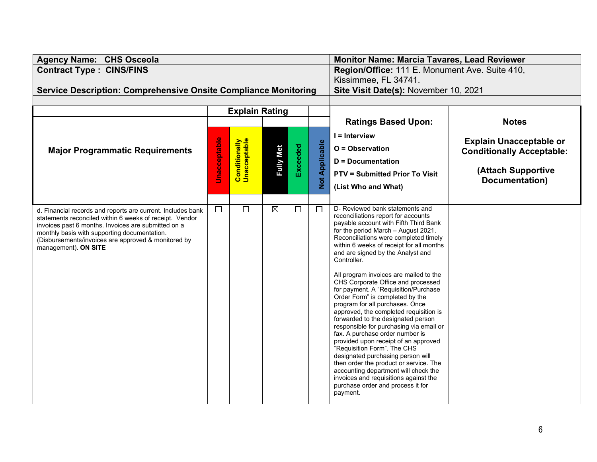| <b>Agency Name: CHS Osceola</b>                                                                                                                                                                                                                                                                              |                       | <b>Monitor Name: Marcia Tavares, Lead Reviewer</b>            |                  |                 |                    |                                                                                                                                                                                                                                                                                                                                                                                                                                                                                                                                                                                                                                                                                                                                                                                                                                                                                                                                                     |                                                                                                            |
|--------------------------------------------------------------------------------------------------------------------------------------------------------------------------------------------------------------------------------------------------------------------------------------------------------------|-----------------------|---------------------------------------------------------------|------------------|-----------------|--------------------|-----------------------------------------------------------------------------------------------------------------------------------------------------------------------------------------------------------------------------------------------------------------------------------------------------------------------------------------------------------------------------------------------------------------------------------------------------------------------------------------------------------------------------------------------------------------------------------------------------------------------------------------------------------------------------------------------------------------------------------------------------------------------------------------------------------------------------------------------------------------------------------------------------------------------------------------------------|------------------------------------------------------------------------------------------------------------|
| <b>Contract Type: CINS/FINS</b>                                                                                                                                                                                                                                                                              |                       | Region/Office: 111 E. Monument Ave. Suite 410,                |                  |                 |                    |                                                                                                                                                                                                                                                                                                                                                                                                                                                                                                                                                                                                                                                                                                                                                                                                                                                                                                                                                     |                                                                                                            |
| <b>Service Description: Comprehensive Onsite Compliance Monitoring</b>                                                                                                                                                                                                                                       |                       | Kissimmee, FL 34741.<br>Site Visit Date(s): November 10, 2021 |                  |                 |                    |                                                                                                                                                                                                                                                                                                                                                                                                                                                                                                                                                                                                                                                                                                                                                                                                                                                                                                                                                     |                                                                                                            |
|                                                                                                                                                                                                                                                                                                              |                       |                                                               |                  |                 |                    |                                                                                                                                                                                                                                                                                                                                                                                                                                                                                                                                                                                                                                                                                                                                                                                                                                                                                                                                                     |                                                                                                            |
|                                                                                                                                                                                                                                                                                                              | <b>Explain Rating</b> |                                                               |                  |                 |                    |                                                                                                                                                                                                                                                                                                                                                                                                                                                                                                                                                                                                                                                                                                                                                                                                                                                                                                                                                     |                                                                                                            |
|                                                                                                                                                                                                                                                                                                              |                       |                                                               |                  |                 |                    | <b>Ratings Based Upon:</b>                                                                                                                                                                                                                                                                                                                                                                                                                                                                                                                                                                                                                                                                                                                                                                                                                                                                                                                          | <b>Notes</b>                                                                                               |
| <b>Major Programmatic Requirements</b>                                                                                                                                                                                                                                                                       | <b>Unacceptable</b>   | <b>Conditionally</b><br>Unacceptable                          | <b>Fully Met</b> | <b>Exceeded</b> | Applicable<br>Not. | $l =$ Interview<br>O = Observation<br><b>D</b> = Documentation<br><b>PTV = Submitted Prior To Visit</b><br>(List Who and What)                                                                                                                                                                                                                                                                                                                                                                                                                                                                                                                                                                                                                                                                                                                                                                                                                      | <b>Explain Unacceptable or</b><br><b>Conditionally Acceptable:</b><br>(Attach Supportive<br>Documentation) |
| d. Financial records and reports are current. Includes bank<br>statements reconciled within 6 weeks of receipt. Vendor<br>invoices past 6 months. Invoices are submitted on a<br>monthly basis with supporting documentation.<br>(Disbursements/invoices are approved & monitored by<br>management). ON SITE | $\Box$                | $\Box$                                                        | $\boxtimes$      | $\Box$          | $\Box$             | D- Reviewed bank statements and<br>reconciliations report for accounts<br>payable account with Fifth Third Bank<br>for the period March - August 2021.<br>Reconciliations were completed timely<br>within 6 weeks of receipt for all months<br>and are signed by the Analyst and<br>Controller.<br>All program invoices are mailed to the<br>CHS Corporate Office and processed<br>for payment. A "Requisition/Purchase<br>Order Form" is completed by the<br>program for all purchases. Once<br>approved, the completed requisition is<br>forwarded to the designated person<br>responsible for purchasing via email or<br>fax. A purchase order number is<br>provided upon receipt of an approved<br>"Requisition Form". The CHS<br>designated purchasing person will<br>then order the product or service. The<br>accounting department will check the<br>invoices and requisitions against the<br>purchase order and process it for<br>payment. |                                                                                                            |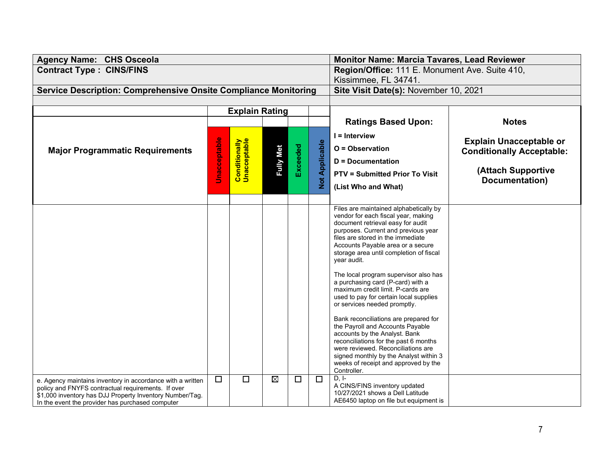| <b>Agency Name: CHS Osceola</b>                                                                                                                                                                                                  |                     | <b>Monitor Name: Marcia Tavares, Lead Reviewer</b> |                                       |          |                       |                                                                                                                                                                                                                                                                                                                                                                                                                                                                                                                                                                                                                                                                                                                                                                                          |                                                                                                            |
|----------------------------------------------------------------------------------------------------------------------------------------------------------------------------------------------------------------------------------|---------------------|----------------------------------------------------|---------------------------------------|----------|-----------------------|------------------------------------------------------------------------------------------------------------------------------------------------------------------------------------------------------------------------------------------------------------------------------------------------------------------------------------------------------------------------------------------------------------------------------------------------------------------------------------------------------------------------------------------------------------------------------------------------------------------------------------------------------------------------------------------------------------------------------------------------------------------------------------------|------------------------------------------------------------------------------------------------------------|
| <b>Contract Type: CINS/FINS</b>                                                                                                                                                                                                  |                     | Region/Office: 111 E. Monument Ave. Suite 410,     |                                       |          |                       |                                                                                                                                                                                                                                                                                                                                                                                                                                                                                                                                                                                                                                                                                                                                                                                          |                                                                                                            |
|                                                                                                                                                                                                                                  |                     | Kissimmee, FL 34741.                               |                                       |          |                       |                                                                                                                                                                                                                                                                                                                                                                                                                                                                                                                                                                                                                                                                                                                                                                                          |                                                                                                            |
| <b>Service Description: Comprehensive Onsite Compliance Monitoring</b>                                                                                                                                                           |                     |                                                    | Site Visit Date(s): November 10, 2021 |          |                       |                                                                                                                                                                                                                                                                                                                                                                                                                                                                                                                                                                                                                                                                                                                                                                                          |                                                                                                            |
|                                                                                                                                                                                                                                  |                     | <b>Explain Rating</b>                              |                                       |          |                       |                                                                                                                                                                                                                                                                                                                                                                                                                                                                                                                                                                                                                                                                                                                                                                                          |                                                                                                            |
|                                                                                                                                                                                                                                  |                     |                                                    |                                       |          |                       | <b>Ratings Based Upon:</b>                                                                                                                                                                                                                                                                                                                                                                                                                                                                                                                                                                                                                                                                                                                                                               | <b>Notes</b>                                                                                               |
| <b>Major Programmatic Requirements</b>                                                                                                                                                                                           | <b>Jnacceptable</b> | <b>Conditionally</b><br>Unacceptable               | <b>Fully Met</b>                      | Exceeded | <b>Not Applicable</b> | $I =$ Interview<br>O = Observation<br><b>D</b> = Documentation<br><b>PTV = Submitted Prior To Visit</b><br>(List Who and What)                                                                                                                                                                                                                                                                                                                                                                                                                                                                                                                                                                                                                                                           | <b>Explain Unacceptable or</b><br><b>Conditionally Acceptable:</b><br>(Attach Supportive<br>Documentation) |
|                                                                                                                                                                                                                                  |                     |                                                    |                                       |          |                       | Files are maintained alphabetically by<br>vendor for each fiscal year, making<br>document retrieval easy for audit<br>purposes. Current and previous year<br>files are stored in the immediate<br>Accounts Payable area or a secure<br>storage area until completion of fiscal<br>year audit.<br>The local program supervisor also has<br>a purchasing card (P-card) with a<br>maximum credit limit. P-cards are<br>used to pay for certain local supplies<br>or services needed promptly.<br>Bank reconciliations are prepared for<br>the Payroll and Accounts Payable<br>accounts by the Analyst. Bank<br>reconciliations for the past 6 months<br>were reviewed. Reconciliations are<br>signed monthly by the Analyst within 3<br>weeks of receipt and approved by the<br>Controller. |                                                                                                            |
| e. Agency maintains inventory in accordance with a written<br>policy and FNYFS contractual requirements. If over<br>\$1,000 inventory has DJJ Property Inventory Number/Tag.<br>In the event the provider has purchased computer | $\Box$              | $\Box$                                             | $\boxtimes$                           | $\Box$   | $\Box$                | $D, I-$<br>A CINS/FINS inventory updated<br>10/27/2021 shows a Dell Latitude<br>AE6450 laptop on file but equipment is                                                                                                                                                                                                                                                                                                                                                                                                                                                                                                                                                                                                                                                                   |                                                                                                            |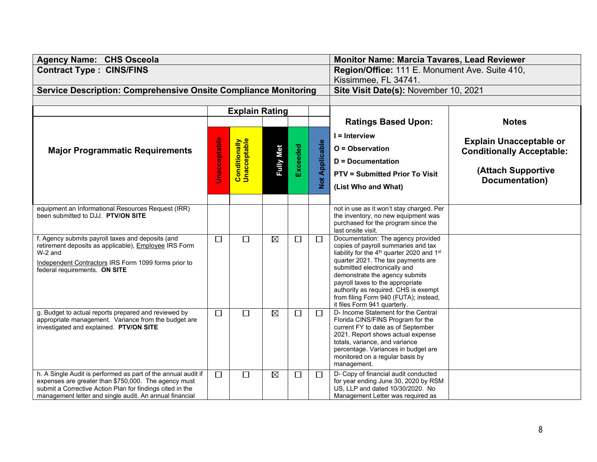| <b>Agency Name: CHS Osceola</b>                                                                                       |                     | <b>Monitor Name: Marcia Tavares, Lead Reviewer</b> |                                       |          |                       |                                                                                                           |                                  |
|-----------------------------------------------------------------------------------------------------------------------|---------------------|----------------------------------------------------|---------------------------------------|----------|-----------------------|-----------------------------------------------------------------------------------------------------------|----------------------------------|
| <b>Contract Type: CINS/FINS</b>                                                                                       |                     | Region/Office: 111 E. Monument Ave. Suite 410,     |                                       |          |                       |                                                                                                           |                                  |
|                                                                                                                       |                     | Kissimmee, FL 34741.                               |                                       |          |                       |                                                                                                           |                                  |
| <b>Service Description: Comprehensive Onsite Compliance Monitoring</b>                                                |                     |                                                    | Site Visit Date(s): November 10, 2021 |          |                       |                                                                                                           |                                  |
|                                                                                                                       |                     |                                                    |                                       |          |                       |                                                                                                           |                                  |
|                                                                                                                       |                     | <b>Explain Rating</b>                              |                                       |          |                       | <b>Ratings Based Upon:</b>                                                                                | <b>Notes</b>                     |
|                                                                                                                       |                     |                                                    |                                       |          |                       |                                                                                                           |                                  |
|                                                                                                                       |                     |                                                    |                                       |          |                       | I = Interview                                                                                             | <b>Explain Unacceptable or</b>   |
| <b>Major Programmatic Requirements</b>                                                                                | <b>Unacceptable</b> | <b>Conditionally</b><br>Unacceptable               |                                       | Exceeded | <b>Not Applicable</b> | O = Observation                                                                                           | <b>Conditionally Acceptable:</b> |
|                                                                                                                       |                     |                                                    | <b>Fully Met</b>                      |          |                       | $D = Doc$ umentation                                                                                      |                                  |
|                                                                                                                       |                     |                                                    |                                       |          |                       | <b>PTV = Submitted Prior To Visit</b>                                                                     | (Attach Supportive               |
|                                                                                                                       |                     |                                                    |                                       |          |                       | (List Who and What)                                                                                       | Documentation)                   |
|                                                                                                                       |                     |                                                    |                                       |          |                       |                                                                                                           |                                  |
| equipment an Informational Resources Request (IRR)                                                                    |                     |                                                    |                                       |          |                       | not in use as it won't stay charged. Per                                                                  |                                  |
| been submitted to DJJ. PTV/ON SITE                                                                                    |                     |                                                    |                                       |          |                       | the inventory, no new equipment was                                                                       |                                  |
|                                                                                                                       |                     |                                                    |                                       |          |                       | purchased for the program since the<br>last onsite visit.                                                 |                                  |
| f. Agency submits payroll taxes and deposits (and                                                                     | □                   | $\Box$                                             | $\boxtimes$                           | $\Box$   | $\Box$                | Documentation: The agency provided                                                                        |                                  |
| retirement deposits as applicable), Employee IRS Form<br>W-2 and                                                      |                     |                                                    |                                       |          |                       | copies of payroll summaries and tax<br>liability for the 4 <sup>th</sup> quarter 2020 and 1 <sup>st</sup> |                                  |
| Independent Contractors IRS Form 1099 forms prior to                                                                  |                     |                                                    |                                       |          |                       | quarter 2021. The tax payments are                                                                        |                                  |
| federal requirements. ON SITE                                                                                         |                     |                                                    |                                       |          |                       | submitted electronically and                                                                              |                                  |
|                                                                                                                       |                     |                                                    |                                       |          |                       | demonstrate the agency submits<br>payroll taxes to the appropriate                                        |                                  |
|                                                                                                                       |                     |                                                    |                                       |          |                       | authority as required. CHS is exempt                                                                      |                                  |
|                                                                                                                       |                     |                                                    |                                       |          |                       | from filing Form 940 (FUTA); instead,<br>it files Form 941 quarterly.                                     |                                  |
| g. Budget to actual reports prepared and reviewed by                                                                  | П                   | $\Box$                                             | $\boxtimes$                           | $\Box$   | $\Box$                | D- Income Statement for the Central                                                                       |                                  |
| appropriate management. Variance from the budget are<br>investigated and explained. PTV/ON SITE                       |                     |                                                    |                                       |          |                       | Florida CINS/FINS Program for the<br>current FY to date as of September                                   |                                  |
|                                                                                                                       |                     |                                                    |                                       |          |                       | 2021. Report shows actual expense                                                                         |                                  |
|                                                                                                                       |                     |                                                    |                                       |          |                       | totals, variance, and variance<br>percentage. Variances in budget are                                     |                                  |
|                                                                                                                       |                     |                                                    |                                       |          |                       | monitored on a regular basis by                                                                           |                                  |
|                                                                                                                       |                     |                                                    |                                       |          |                       | management.                                                                                               |                                  |
| h. A Single Audit is performed as part of the annual audit if<br>expenses are greater than \$750,000. The agency must | $\Box$              | $\Box$                                             | $\boxtimes$                           | $\Box$   | $\Box$                | D- Copy of financial audit conducted<br>for year ending June 30, 2020 by RSM                              |                                  |
| submit a Corrective Action Plan for findings cited in the                                                             |                     |                                                    |                                       |          |                       | US, LLP and dated 10/30/2020. No                                                                          |                                  |
| management letter and single audit. An annual financial                                                               |                     |                                                    |                                       |          |                       | Management Letter was required as                                                                         |                                  |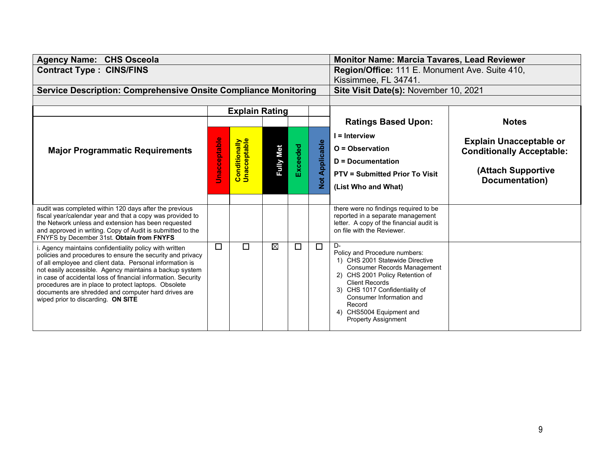| <b>Agency Name: CHS Osceola</b>                                                                                                                                                                                                                                                                                                                                                                                                                                    |                     |                                                                        |                  |          |               | <b>Monitor Name: Marcia Tavares, Lead Reviewer</b>                                                                                                                                                                                                                                                         |                                      |
|--------------------------------------------------------------------------------------------------------------------------------------------------------------------------------------------------------------------------------------------------------------------------------------------------------------------------------------------------------------------------------------------------------------------------------------------------------------------|---------------------|------------------------------------------------------------------------|------------------|----------|---------------|------------------------------------------------------------------------------------------------------------------------------------------------------------------------------------------------------------------------------------------------------------------------------------------------------------|--------------------------------------|
| <b>Contract Type: CINS/FINS</b>                                                                                                                                                                                                                                                                                                                                                                                                                                    |                     | Region/Office: 111 E. Monument Ave. Suite 410,<br>Kissimmee, FL 34741. |                  |          |               |                                                                                                                                                                                                                                                                                                            |                                      |
| <b>Service Description: Comprehensive Onsite Compliance Monitoring</b>                                                                                                                                                                                                                                                                                                                                                                                             |                     | Site Visit Date(s): November 10, 2021                                  |                  |          |               |                                                                                                                                                                                                                                                                                                            |                                      |
|                                                                                                                                                                                                                                                                                                                                                                                                                                                                    |                     |                                                                        |                  |          |               |                                                                                                                                                                                                                                                                                                            |                                      |
|                                                                                                                                                                                                                                                                                                                                                                                                                                                                    |                     | <b>Explain Rating</b>                                                  |                  |          |               |                                                                                                                                                                                                                                                                                                            |                                      |
|                                                                                                                                                                                                                                                                                                                                                                                                                                                                    |                     |                                                                        |                  |          |               | <b>Ratings Based Upon:</b>                                                                                                                                                                                                                                                                                 | <b>Notes</b>                         |
|                                                                                                                                                                                                                                                                                                                                                                                                                                                                    |                     |                                                                        |                  |          |               | $I =$ Interview                                                                                                                                                                                                                                                                                            | <b>Explain Unacceptable or</b>       |
| <b>Major Programmatic Requirements</b>                                                                                                                                                                                                                                                                                                                                                                                                                             | <b>Unacceptable</b> | <b>Conditionally</b><br>Unacceptable                                   |                  |          | Applicable    | $O = Observation$                                                                                                                                                                                                                                                                                          | <b>Conditionally Acceptable:</b>     |
|                                                                                                                                                                                                                                                                                                                                                                                                                                                                    |                     |                                                                        | <b>Fully Met</b> | Exceeded |               | <b>D</b> = Documentation                                                                                                                                                                                                                                                                                   |                                      |
|                                                                                                                                                                                                                                                                                                                                                                                                                                                                    |                     |                                                                        |                  |          |               | <b>PTV = Submitted Prior To Visit</b>                                                                                                                                                                                                                                                                      | (Attach Supportive<br>Documentation) |
|                                                                                                                                                                                                                                                                                                                                                                                                                                                                    |                     |                                                                        |                  |          | $\frac{1}{2}$ | (List Who and What)                                                                                                                                                                                                                                                                                        |                                      |
|                                                                                                                                                                                                                                                                                                                                                                                                                                                                    |                     |                                                                        |                  |          |               |                                                                                                                                                                                                                                                                                                            |                                      |
| audit was completed within 120 days after the previous<br>fiscal year/calendar year and that a copy was provided to<br>the Network unless and extension has been requested<br>and approved in writing. Copy of Audit is submitted to the<br>FNYFS by December 31st. Obtain from FNYFS                                                                                                                                                                              |                     |                                                                        |                  |          |               | there were no findings required to be<br>reported in a separate management<br>letter. A copy of the financial audit is<br>on file with the Reviewer.                                                                                                                                                       |                                      |
| i. Agency maintains confidentiality policy with written<br>policies and procedures to ensure the security and privacy<br>of all employee and client data. Personal information is<br>not easily accessible. Agency maintains a backup system<br>in case of accidental loss of financial information. Security<br>procedures are in place to protect laptops. Obsolete<br>documents are shredded and computer hard drives are<br>wiped prior to discarding. ON SITE | П                   | П                                                                      | $\boxtimes$      | □        | $\Box$        | D-<br>Policy and Procedure numbers:<br>1) CHS 2001 Statewide Directive<br><b>Consumer Records Management</b><br>2) CHS 2001 Policy Retention of<br><b>Client Records</b><br>3) CHS 1017 Confidentiality of<br>Consumer Information and<br>Record<br>4) CHS5004 Equipment and<br><b>Property Assignment</b> |                                      |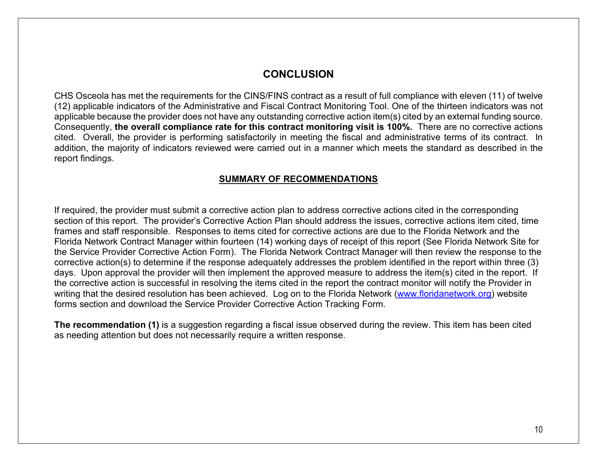## **CONCLUSION**

CHS Osceola has met the requirements for the CINS/FINS contract as a result of full compliance with eleven (11) of twelve (12) applicable indicators of the Administrative and Fiscal Contract Monitoring Tool. One of the thirteen indicators was not applicable because the provider does not have any outstanding corrective action item(s) cited by an external funding source. Consequently, **the overall compliance rate for this contract monitoring visit is 100%.** There are no corrective actions cited. Overall, the provider is performing satisfactorily in meeting the fiscal and administrative terms of its contract. In addition, the majority of indicators reviewed were carried out in a manner which meets the standard as described in the report findings.

### **SUMMARY OF RECOMMENDATIONS**

If required, the provider must submit a corrective action plan to address corrective actions cited in the corresponding section of this report. The provider's Corrective Action Plan should address the issues, corrective actions item cited, time frames and staff responsible. Responses to items cited for corrective actions are due to the Florida Network and the Florida Network Contract Manager within fourteen (14) working days of receipt of this report (See Florida Network Site for the Service Provider Corrective Action Form). The Florida Network Contract Manager will then review the response to the corrective action(s) to determine if the response adequately addresses the problem identified in the report within three (3) days. Upon approval the provider will then implement the approved measure to address the item(s) cited in the report. If the corrective action is successful in resolving the items cited in the report the contract monitor will notify the Provider in writing that the desired resolution has been achieved. Log on to the Florida Network [\(www.floridanetwork.org\)](http://www.floridanetwork.org/) website forms section and download the Service Provider Corrective Action Tracking Form.

**The recommendation (1)** is a suggestion regarding a fiscal issue observed during the review. This item has been cited as needing attention but does not necessarily require a written response.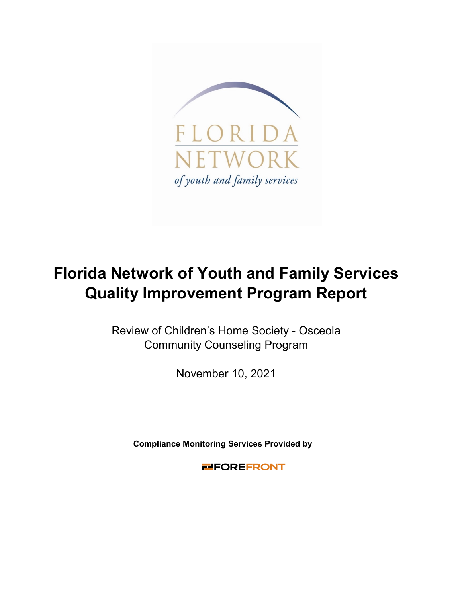

# **Florida Network of Youth and Family Services Quality Improvement Program Report**

Review of Children's Home Society - Osceola Community Counseling Program

November 10, 2021

**Compliance Monitoring Services Provided by** 

**FIFOREFRONT**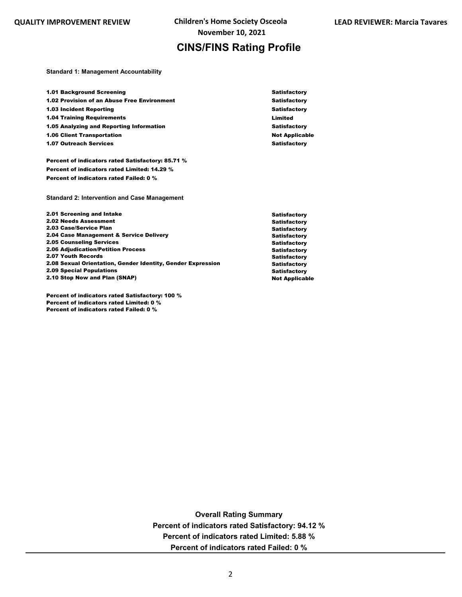## **CINS/FINS Rating Profile**

**Standard 1: Management Accountability**

| <b>1.01 Background Screening</b>                   | <b>Satisfactory</b>   |
|----------------------------------------------------|-----------------------|
|                                                    |                       |
| <b>1.02 Provision of an Abuse Free Environment</b> | <b>Satisfactory</b>   |
| <b>1.03 Incident Reporting</b>                     | <b>Satisfactory</b>   |
| <b>1.04 Training Requirements</b>                  | Limited               |
| 1.05 Analyzing and Reporting Information           | <b>Satisfactory</b>   |
| <b>1.06 Client Transportation</b>                  | <b>Not Applicable</b> |
| <b>1.07 Outreach Services</b>                      | <b>Satisfactory</b>   |

Percent of indicators rated Satisfactory: 85.71 % Percent of indicators rated Limited: 14.29 % Percent of indicators rated Failed: 0 %

**Standard 2: Intervention and Case Management**

| 2.01 Screening and Intake                                   |
|-------------------------------------------------------------|
| <b>2.02 Needs Assessment</b>                                |
| 2.03 Case/Service Plan                                      |
| 2.04 Case Management & Service Delivery                     |
| <b>2.05 Counseling Services</b>                             |
| <b>2.06 Adiudication/Petition Process</b>                   |
| 2.07 Youth Records                                          |
| 2.08 Sexual Orientation, Gender Identity, Gender Expression |
| <b>2.09 Special Populations</b>                             |
| 2.10 Stop Now and Plan (SNAP)                               |

Percent of indicators rated Satisfactory: 100 % Percent of indicators rated Limited: 0 % Percent of indicators rated Failed: 0 %

**Satisfactory** Satisfactory **Satisfactory** Satisfactory **Satisfactory** Satisfactory **Satisfactory** Satisfactory **Satisfactory** Not Applicable

**Overall Rating Summary Percent of indicators rated Satisfactory: 94.12 % Percent of indicators rated Limited: 5.88 % Percent of indicators rated Failed: 0 %**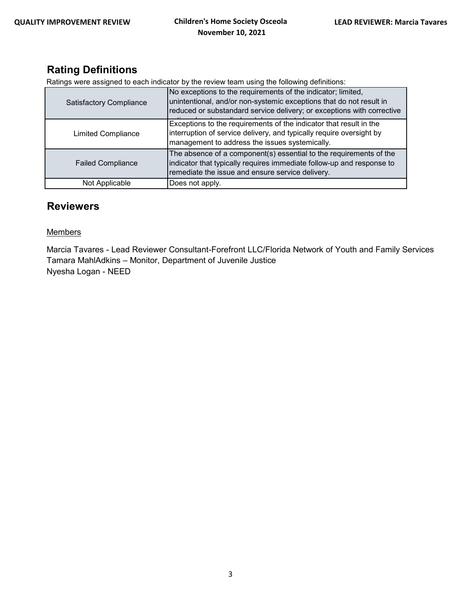# **Rating Definitions**

Ratings were assigned to each indicator by the review team using the following definitions:

| <b>Satisfactory Compliance</b> | No exceptions to the requirements of the indicator; limited,<br>unintentional, and/or non-systemic exceptions that do not result in<br>reduced or substandard service delivery; or exceptions with corrective |
|--------------------------------|---------------------------------------------------------------------------------------------------------------------------------------------------------------------------------------------------------------|
| <b>Limited Compliance</b>      | Exceptions to the requirements of the indicator that result in the<br>interruption of service delivery, and typically require oversight by<br>management to address the issues systemically.                  |
| <b>Failed Compliance</b>       | The absence of a component(s) essential to the requirements of the<br>indicator that typically requires immediate follow-up and response to<br>remediate the issue and ensure service delivery.               |
| Not Applicable                 | Does not apply.                                                                                                                                                                                               |

# **Reviewers**

#### **Members**

Marcia Tavares - Lead Reviewer Consultant-Forefront LLC/Florida Network of Youth and Family Services Tamara MahlAdkins – Monitor, Department of Juvenile Justice Nyesha Logan - NEED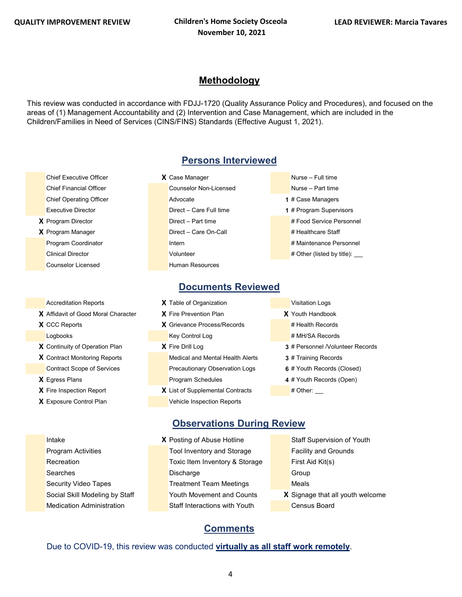## **Methodology**

This review was conducted in accordance with FDJJ-1720 (Quality Assurance Policy and Procedures), and focused on the areas of (1) Management Accountability and (2) Intervention and Case Management, which are included in the Children/Families in Need of Services (CINS/FINS) Standards (Effective August 1, 2021).

- Chief Executive Officer **X** Case Manager **Nurse Full time**
- **Counselor Licensed Counselor Licensed Counselor Licensed**

- **X** Affidavit of Good Moral Character **X** Fire Prevention Plan **X** Youth Handbook
- 
- 
- 
- 
- 
- 

# **Persons Interviewed**

- Chief Financial Officer Chief Financial Officer Counselor Non-Licensed Nurse Part time **Chief Operating Officer 1** # Case Managers **Advocate 1 Advocate 1 Advocate 1 1** # Case Managers **Executive Director 1 2 Direct** – Care Full time **1 1** # Program Supervisors **X** Program Director **Direct – Part time A Program Direct – Part time # Food Service Personnel X** Program Manager **Direct – Care On-Call # Healthcare Staff** Program Coordinator **International International International Accordination** # Maintenance Personnel Clinical Director **According to Provide According to Clinical Director** 4 Other (listed by title):
- -
	-
	-
	-

### **Documents Reviewed**

- Accreditation Reports **X** Table of Organization **Victor** Visitation Logs
	-
- **X** CCC Reports **X** Grievance Process/Records # Health Records Logbooks Key Control Log # MH/SA Records
	-
- **X** Contract Monitoring Reports Medical and Mental Health Alerts **3** # Training Records Contract Scope of Services Precautionary Observation Logs **6** # Youth Records (Closed) **X** Egress Plans **Program Schedules 4** # Youth Records (Open)
- **X** Fire Inspection Report **X** List of Supplemental Contracts # Other: **X** Exposure Control Plan Vehicle Inspection Reports
- 
- 
- 
- 
- **X** Continuity of Operation Plan **X** Fire Drill Log **3** # Personnel /Volunteer Records
	-
	-
	- -
	- **Intake <b>X** Posting of Abuse Hotline Staff Supervision of Youth Program Activities Tool Inventory and Storage Facility and Grounds Recreation **Toxic Item Inventory & Storage** First Aid Kit(s) Searches **Discharge Group** Discharge Group Security Video Tapes Treatment Team Meetings Neals
	-

## **Observations During Review**

- Medication Administration Staff Interactions with Youth Census Board
- -
	-
	-
- Social Skill Modeling by Staff Youth Movement and Counts **X** Signage that all youth welcome

## **Comments**

#### Due to COVID-19, this review was conducted **virtually as all staff work remotely**.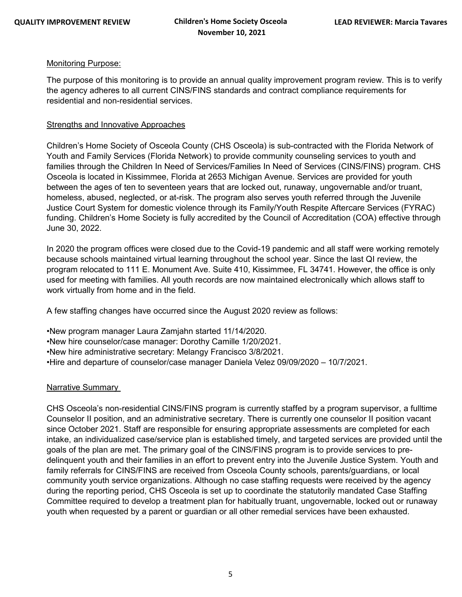#### Monitoring Purpose:

The purpose of this monitoring is to provide an annual quality improvement program review. This is to verify the agency adheres to all current CINS/FINS standards and contract compliance requirements for residential and non-residential services.

#### Strengths and Innovative Approaches

Children's Home Society of Osceola County (CHS Osceola) is sub-contracted with the Florida Network of Youth and Family Services (Florida Network) to provide community counseling services to youth and families through the Children In Need of Services/Families In Need of Services (CINS/FINS) program. CHS Osceola is located in Kissimmee, Florida at 2653 Michigan Avenue. Services are provided for youth between the ages of ten to seventeen years that are locked out, runaway, ungovernable and/or truant, homeless, abused, neglected, or at-risk. The program also serves youth referred through the Juvenile Justice Court System for domestic violence through its Family/Youth Respite Aftercare Services (FYRAC) funding. Children's Home Society is fully accredited by the Council of Accreditation (COA) effective through June 30, 2022.

In 2020 the program offices were closed due to the Covid-19 pandemic and all staff were working remotely because schools maintained virtual learning throughout the school year. Since the last QI review, the program relocated to 111 E. Monument Ave. Suite 410, Kissimmee, FL 34741. However, the office is only used for meeting with families. All youth records are now maintained electronically which allows staff to work virtually from home and in the field.

A few staffing changes have occurred since the August 2020 review as follows:

• New program manager Laura Zamjahn started 11/14/2020.

• New hire counselor/case manager: Dorothy Camille 1/20/2021.

• New hire administrative secretary: Melangy Francisco 3/8/2021.

• Hire and departure of counselor/case manager Daniela Velez 09/09/2020 – 10/7/2021.

#### Narrative Summary

CHS Osceola's non-residential CINS/FINS program is currently staffed by a program supervisor, a fulltime Counselor II position, and an administrative secretary. There is currently one counselor II position vacant since October 2021. Staff are responsible for ensuring appropriate assessments are completed for each intake, an individualized case/service plan is established timely, and targeted services are provided until the goals of the plan are met. The primary goal of the CINS/FINS program is to provide services to predelinquent youth and their families in an effort to prevent entry into the Juvenile Justice System. Youth and family referrals for CINS/FINS are received from Osceola County schools, parents/guardians, or local community youth service organizations. Although no case staffing requests were received by the agency during the reporting period, CHS Osceola is set up to coordinate the statutorily mandated Case Staffing Committee required to develop a treatment plan for habitually truant, ungovernable, locked out or runaway youth when requested by a parent or guardian or all other remedial services have been exhausted.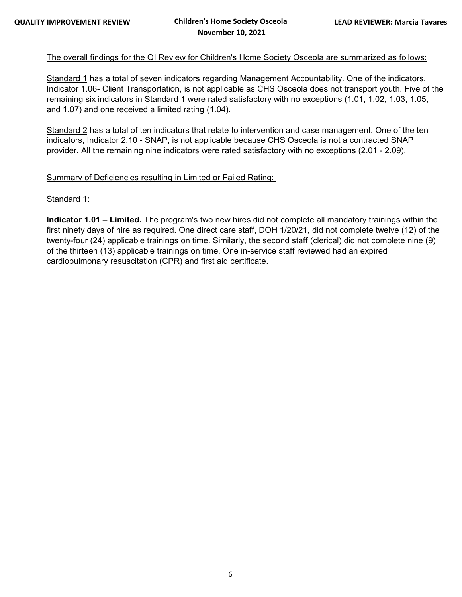#### The overall findings for the QI Review for Children's Home Society Osceola are summarized as follows:

Standard 1 has a total of seven indicators regarding Management Accountability. One of the indicators, Indicator 1.06- Client Transportation, is not applicable as CHS Osceola does not transport youth. Five of the remaining six indicators in Standard 1 were rated satisfactory with no exceptions (1.01, 1.02, 1.03, 1.05, and 1.07) and one received a limited rating (1.04).

Standard 2 has a total of ten indicators that relate to intervention and case management. One of the ten indicators, Indicator 2.10 - SNAP, is not applicable because CHS Osceola is not a contracted SNAP provider. All the remaining nine indicators were rated satisfactory with no exceptions (2.01 - 2.09).

#### Summary of Deficiencies resulting in Limited or Failed Rating:

Standard 1:

**Indicator 1.01 – Limited.** The program's two new hires did not complete all mandatory trainings within the first ninety days of hire as required. One direct care staff, DOH 1/20/21, did not complete twelve (12) of the twenty-four (24) applicable trainings on time. Similarly, the second staff (clerical) did not complete nine (9) of the thirteen (13) applicable trainings on time. One in-service staff reviewed had an expired cardiopulmonary resuscitation (CPR) and first aid certificate.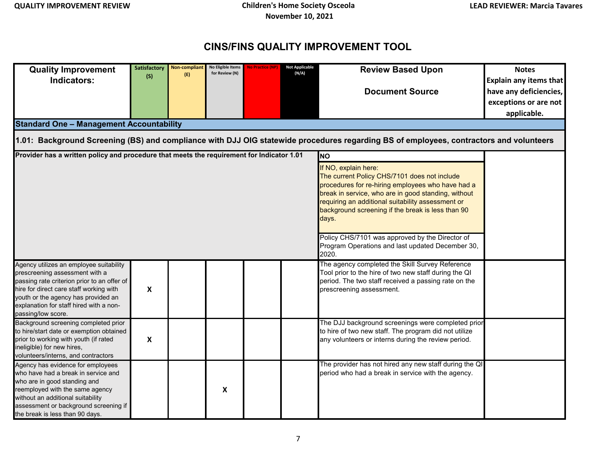# **CINS/FINS QUALITY IMPROVEMENT TOOL**

| <b>Quality Improvement</b>                                                                                                                                                                                                                                                  | <b>Satisfactory</b>       | <b>Non-compliant</b> | No Eligible Items<br>for Review (N) | No Practice (NI | <b>Not Applicable</b><br>(N/A) | <b>Review Based Upon</b>                                                                                                                                                                                                                                                                            | <b>Notes</b>                  |  |  |  |
|-----------------------------------------------------------------------------------------------------------------------------------------------------------------------------------------------------------------------------------------------------------------------------|---------------------------|----------------------|-------------------------------------|-----------------|--------------------------------|-----------------------------------------------------------------------------------------------------------------------------------------------------------------------------------------------------------------------------------------------------------------------------------------------------|-------------------------------|--|--|--|
| Indicators:                                                                                                                                                                                                                                                                 | (S)                       | (E)                  |                                     |                 |                                |                                                                                                                                                                                                                                                                                                     | <b>Explain any items that</b> |  |  |  |
|                                                                                                                                                                                                                                                                             |                           |                      |                                     |                 |                                | <b>Document Source</b>                                                                                                                                                                                                                                                                              | have any deficiencies,        |  |  |  |
|                                                                                                                                                                                                                                                                             |                           |                      |                                     |                 |                                |                                                                                                                                                                                                                                                                                                     | exceptions or are not         |  |  |  |
|                                                                                                                                                                                                                                                                             |                           |                      |                                     |                 |                                |                                                                                                                                                                                                                                                                                                     | applicable.                   |  |  |  |
| <b>Standard One - Management Accountability</b>                                                                                                                                                                                                                             |                           |                      |                                     |                 |                                |                                                                                                                                                                                                                                                                                                     |                               |  |  |  |
| 1.01: Background Screening (BS) and compliance with DJJ OIG statewide procedures regarding BS of employees, contractors and volunteers                                                                                                                                      |                           |                      |                                     |                 |                                |                                                                                                                                                                                                                                                                                                     |                               |  |  |  |
| Provider has a written policy and procedure that meets the requirement for Indicator 1.01                                                                                                                                                                                   |                           |                      |                                     |                 |                                | <b>NO</b>                                                                                                                                                                                                                                                                                           |                               |  |  |  |
|                                                                                                                                                                                                                                                                             |                           |                      |                                     |                 |                                | If NO, explain here:<br>The current Policy CHS/7101 does not include<br>procedures for re-hiring employees who have had a<br>break in service, who are in good standing, without<br>requiring an additional suitability assessment or<br>background screening if the break is less than 90<br>days. |                               |  |  |  |
|                                                                                                                                                                                                                                                                             |                           |                      |                                     |                 |                                | Policy CHS/7101 was approved by the Director of<br>Program Operations and last updated December 30,<br>2020.                                                                                                                                                                                        |                               |  |  |  |
| Agency utilizes an employee suitability<br>prescreening assessment with a<br>passing rate criterion prior to an offer of<br>hire for direct care staff working with<br>youth or the agency has provided an<br>explanation for staff hired with a non-<br>passing/low score. | $\boldsymbol{\mathsf{X}}$ |                      |                                     |                 |                                | The agency completed the Skill Survey Reference<br>Tool prior to the hire of two new staff during the QI<br>period. The two staff received a passing rate on the<br>prescreening assessment.                                                                                                        |                               |  |  |  |
| Background screening completed prior<br>to hire/start date or exemption obtained<br>prior to working with youth (if rated<br>ineligible) for new hires,<br>volunteers/interns, and contractors                                                                              | $\boldsymbol{\mathsf{X}}$ |                      |                                     |                 |                                | The DJJ background screenings were completed prior<br>to hire of two new staff. The program did not utilize<br>any volunteers or interns during the review period.                                                                                                                                  |                               |  |  |  |
| Agency has evidence for employees<br>who have had a break in service and<br>who are in good standing and<br>reemployed with the same agency<br>without an additional suitability<br>assessment or background screening if<br>the break is less than 90 days.                |                           |                      | X                                   |                 |                                | The provider has not hired any new staff during the QI<br>period who had a break in service with the agency.                                                                                                                                                                                        |                               |  |  |  |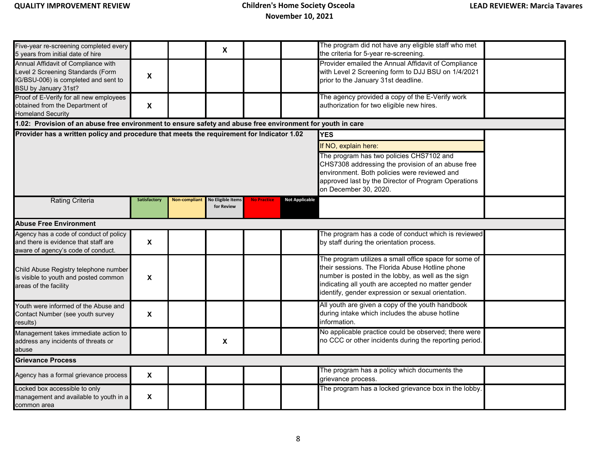| Five-year re-screening completed every<br>5 years from initial date of hire                                                              |                           |                      | X                                      |                    |                       | The program did not have any eligible staff who met<br>the criteria for 5-year re-screening.                                                                                                                                                                               |  |  |  |  |
|------------------------------------------------------------------------------------------------------------------------------------------|---------------------------|----------------------|----------------------------------------|--------------------|-----------------------|----------------------------------------------------------------------------------------------------------------------------------------------------------------------------------------------------------------------------------------------------------------------------|--|--|--|--|
| Annual Affidavit of Compliance with<br>Level 2 Screening Standards (Form<br>IG/BSU-006) is completed and sent to<br>BSU by January 31st? | X                         |                      |                                        |                    |                       | Provider emailed the Annual Affidavit of Compliance<br>with Level 2 Screening form to DJJ BSU on 1/4/2021<br>prior to the January 31st deadline.                                                                                                                           |  |  |  |  |
| Proof of E-Verify for all new employees<br>obtained from the Department of<br><b>Homeland Security</b>                                   | $\mathbf x$               |                      |                                        |                    |                       | The agency provided a copy of the E-Verify work<br>authorization for two eligible new hires.                                                                                                                                                                               |  |  |  |  |
| 1.02: Provision of an abuse free environment to ensure safety and abuse free environment for youth in care                               |                           |                      |                                        |                    |                       |                                                                                                                                                                                                                                                                            |  |  |  |  |
| Provider has a written policy and procedure that meets the requirement for Indicator 1.02                                                |                           |                      |                                        |                    |                       | <b>YES</b>                                                                                                                                                                                                                                                                 |  |  |  |  |
|                                                                                                                                          |                           |                      |                                        |                    |                       | If NO, explain here:                                                                                                                                                                                                                                                       |  |  |  |  |
|                                                                                                                                          |                           |                      |                                        |                    |                       | The program has two policies CHS7102 and<br>CHS7308 addressing the provision of an abuse free<br>environment. Both policies were reviewed and<br>approved last by the Director of Program Operations<br>on December 30, 2020.                                              |  |  |  |  |
| <b>Rating Criteria</b>                                                                                                                   | Satisfactory              | <b>Non-compliant</b> | <b>No Eligible Items</b><br>for Review | <b>No Practice</b> | <b>Not Applicable</b> |                                                                                                                                                                                                                                                                            |  |  |  |  |
| <b>Abuse Free Environment</b>                                                                                                            |                           |                      |                                        |                    |                       |                                                                                                                                                                                                                                                                            |  |  |  |  |
| Agency has a code of conduct of policy<br>and there is evidence that staff are<br>aware of agency's code of conduct.                     | $\mathbf{x}$              |                      |                                        |                    |                       | The program has a code of conduct which is reviewed<br>by staff during the orientation process.                                                                                                                                                                            |  |  |  |  |
| Child Abuse Registry telephone number<br>is visible to youth and posted common<br>areas of the facility                                  | X                         |                      |                                        |                    |                       | The program utilizes a small office space for some of<br>their sessions. The Florida Abuse Hotline phone<br>number is posted in the lobby, as well as the sign<br>indicating all youth are accepted no matter gender<br>identify, gender expression or sexual orientation. |  |  |  |  |
| Youth were informed of the Abuse and<br>Contact Number (see youth survey<br>results)                                                     | $\mathbf{x}$              |                      |                                        |                    |                       | All youth are given a copy of the youth handbook<br>during intake which includes the abuse hotline<br>information.                                                                                                                                                         |  |  |  |  |
| Management takes immediate action to<br>address any incidents of threats or<br>abuse                                                     |                           |                      | X                                      |                    |                       | No applicable practice could be observed; there were<br>no CCC or other incidents during the reporting period.                                                                                                                                                             |  |  |  |  |
| <b>Grievance Process</b>                                                                                                                 |                           |                      |                                        |                    |                       |                                                                                                                                                                                                                                                                            |  |  |  |  |
| Agency has a formal grievance process                                                                                                    | X                         |                      |                                        |                    |                       | The program has a policy which documents the<br>grievance process.                                                                                                                                                                                                         |  |  |  |  |
| Locked box accessible to only<br>management and available to youth in a<br>common area                                                   | $\boldsymbol{\mathsf{X}}$ |                      |                                        |                    |                       | The program has a locked grievance box in the lobby.                                                                                                                                                                                                                       |  |  |  |  |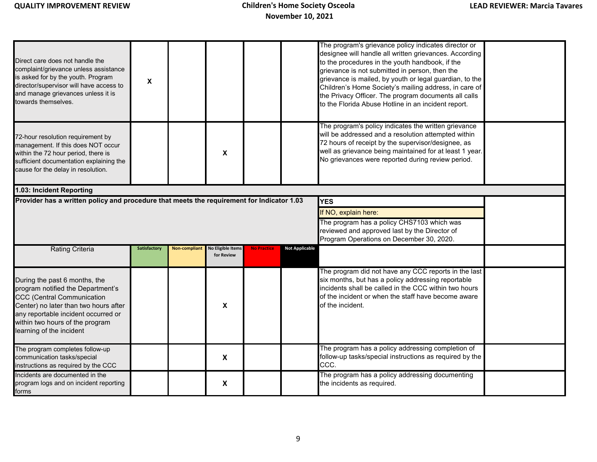| Direct care does not handle the<br>complaint/grievance unless assistance<br>is asked for by the youth. Program<br>director/supervisor will have access to<br>and manage grievances unless it is<br>towards themselves.                                 | $\boldsymbol{\mathsf{X}}$ |               |                                        |                    |                       | The program's grievance policy indicates director or<br>designee will handle all written grievances. According<br>to the procedures in the youth handbook, if the<br>grievance is not submitted in person, then the<br>grievance is mailed, by youth or legal guardian, to the<br>Children's Home Society's mailing address, in care of<br>the Privacy Officer. The program documents all calls<br>to the Florida Abuse Hotline in an incident report. |  |
|--------------------------------------------------------------------------------------------------------------------------------------------------------------------------------------------------------------------------------------------------------|---------------------------|---------------|----------------------------------------|--------------------|-----------------------|--------------------------------------------------------------------------------------------------------------------------------------------------------------------------------------------------------------------------------------------------------------------------------------------------------------------------------------------------------------------------------------------------------------------------------------------------------|--|
| 72-hour resolution requirement by<br>management. If this does NOT occur<br>within the 72 hour period, there is<br>sufficient documentation explaining the<br>cause for the delay in resolution.                                                        |                           |               | X                                      |                    |                       | The program's policy indicates the written grievance<br>will be addressed and a resolution attempted within<br>72 hours of receipt by the supervisor/designee, as<br>well as grievance being maintained for at least 1 year.<br>No grievances were reported during review period.                                                                                                                                                                      |  |
| 1.03: Incident Reporting                                                                                                                                                                                                                               |                           |               |                                        |                    |                       |                                                                                                                                                                                                                                                                                                                                                                                                                                                        |  |
| Provider has a written policy and procedure that meets the requirement for Indicator 1.03                                                                                                                                                              |                           |               |                                        |                    |                       | <b>YES</b>                                                                                                                                                                                                                                                                                                                                                                                                                                             |  |
|                                                                                                                                                                                                                                                        |                           |               |                                        |                    |                       | If NO, explain here:                                                                                                                                                                                                                                                                                                                                                                                                                                   |  |
|                                                                                                                                                                                                                                                        |                           |               |                                        |                    |                       | The program has a policy CHS7103 which was<br>reviewed and approved last by the Director of<br>Program Operations on December 30, 2020.                                                                                                                                                                                                                                                                                                                |  |
| <b>Rating Criteria</b>                                                                                                                                                                                                                                 | <b>Satisfactory</b>       | Non-compliant | <b>No Eligible Items</b><br>for Review | <b>No Practice</b> | <b>Not Applicable</b> |                                                                                                                                                                                                                                                                                                                                                                                                                                                        |  |
| During the past 6 months, the<br>program notified the Department's<br><b>CCC (Central Communication</b><br>Center) no later than two hours after<br>any reportable incident occurred or<br>within two hours of the program<br>learning of the incident |                           |               | $\pmb{\mathsf{X}}$                     |                    |                       | The program did not have any CCC reports in the last<br>six months, but has a policy addressing reportable<br>incidents shall be called in the CCC within two hours<br>of the incident or when the staff have become aware<br>of the incident.                                                                                                                                                                                                         |  |
| The program completes follow-up<br>communication tasks/special<br>instructions as required by the CCC                                                                                                                                                  |                           |               | X                                      |                    |                       | The program has a policy addressing completion of<br>follow-up tasks/special instructions as required by the<br>CCC.                                                                                                                                                                                                                                                                                                                                   |  |
| Incidents are documented in the<br>program logs and on incident reporting<br>forms                                                                                                                                                                     |                           |               | X                                      |                    |                       | The program has a policy addressing documenting<br>the incidents as required.                                                                                                                                                                                                                                                                                                                                                                          |  |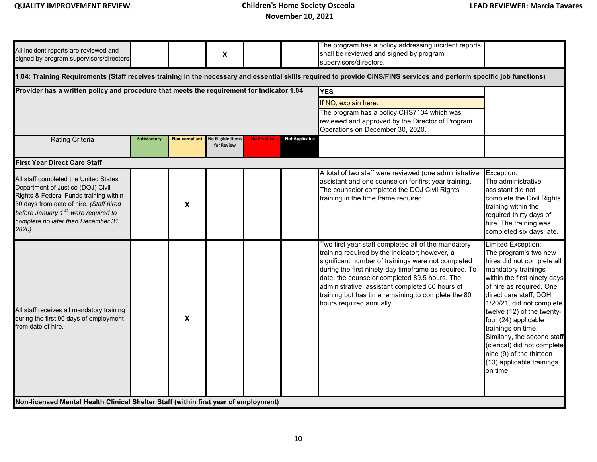|              |                           | $\boldsymbol{\mathsf{X}}$              |                    |                                                                                     | shall be reviewed and signed by program<br>supervisors/directors.                                                                                                                                                                                                                                                                                                                                         |                                                                                                                                                                                                                                                                                                                                                                                                                                    |
|--------------|---------------------------|----------------------------------------|--------------------|-------------------------------------------------------------------------------------|-----------------------------------------------------------------------------------------------------------------------------------------------------------------------------------------------------------------------------------------------------------------------------------------------------------------------------------------------------------------------------------------------------------|------------------------------------------------------------------------------------------------------------------------------------------------------------------------------------------------------------------------------------------------------------------------------------------------------------------------------------------------------------------------------------------------------------------------------------|
|              |                           |                                        |                    |                                                                                     |                                                                                                                                                                                                                                                                                                                                                                                                           |                                                                                                                                                                                                                                                                                                                                                                                                                                    |
|              |                           |                                        |                    |                                                                                     | <b>YES</b>                                                                                                                                                                                                                                                                                                                                                                                                |                                                                                                                                                                                                                                                                                                                                                                                                                                    |
|              |                           |                                        |                    |                                                                                     | If NO, explain here:                                                                                                                                                                                                                                                                                                                                                                                      |                                                                                                                                                                                                                                                                                                                                                                                                                                    |
|              |                           |                                        |                    |                                                                                     | The program has a policy CHS7104 which was<br>reviewed and approved by the Director of Program<br>Operations on December 30, 2020.                                                                                                                                                                                                                                                                        |                                                                                                                                                                                                                                                                                                                                                                                                                                    |
| Satisfactory | <b>Non-compliant</b>      | <b>No Eligible Items</b><br>for Review | <b>No Practice</b> | <b>Not Applicable</b>                                                               |                                                                                                                                                                                                                                                                                                                                                                                                           |                                                                                                                                                                                                                                                                                                                                                                                                                                    |
|              |                           |                                        |                    |                                                                                     |                                                                                                                                                                                                                                                                                                                                                                                                           |                                                                                                                                                                                                                                                                                                                                                                                                                                    |
|              | X                         |                                        |                    |                                                                                     | A total of two staff were reviewed (one administrative<br>assistant and one counselor) for first year training.<br>The counselor completed the DOJ Civil Rights<br>training in the time frame required.                                                                                                                                                                                                   | Exception:<br>The administrative<br>assistant did not<br>complete the Civil Rights<br>training within the<br>required thirty days of<br>hire. The training was<br>completed six days late.                                                                                                                                                                                                                                         |
|              | $\boldsymbol{\mathsf{X}}$ |                                        |                    |                                                                                     | Two first year staff completed all of the mandatory<br>training required by the indicator; however, a<br>significant number of trainings were not completed<br>during the first ninety-day timeframe as required. To<br>date, the counselor completed 89.5 hours. The<br>administrative assistant completed 60 hours of<br>training but has time remaining to complete the 80<br>hours required annually. | Limited Exception:<br>The program's two new<br>hires did not complete all<br>mandatory trainings<br>within the first ninety days<br>of hire as required. One<br>direct care staff, DOH<br>1/20/21, did not complete<br>twelve (12) of the twenty-<br>four (24) applicable<br>trainings on time.<br>Similarly, the second staff<br>(clerical) did not complete<br>nine (9) of the thirteen<br>(13) applicable trainings<br>on time. |
|              |                           |                                        |                    | Non-licensed Mental Health Clinical Shelter Staff (within first year of employment) | Provider has a written policy and procedure that meets the requirement for Indicator 1.04                                                                                                                                                                                                                                                                                                                 | 1.04: Training Requirements (Staff receives training in the necessary and essential skills required to provide CINS/FINS services and perform specific job functions)                                                                                                                                                                                                                                                              |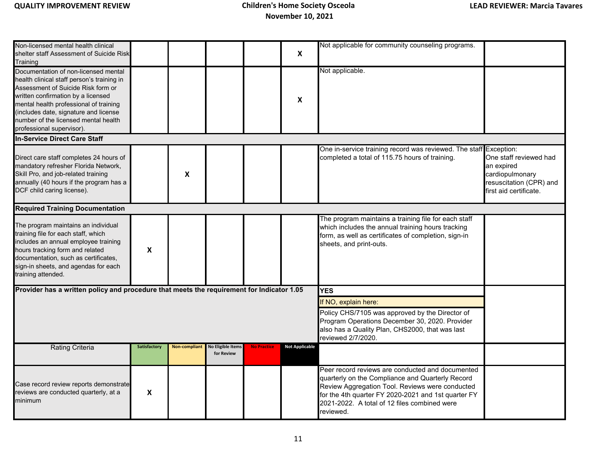| Non-licensed mental health clinical<br>shelter staff Assessment of Suicide Risk<br>Training                                                                                                                                                                                                                            |              |               |                                        |                    | $\boldsymbol{X}$      | Not applicable for community counseling programs.                                                                                                                                                                                                                           |                                                                                                              |
|------------------------------------------------------------------------------------------------------------------------------------------------------------------------------------------------------------------------------------------------------------------------------------------------------------------------|--------------|---------------|----------------------------------------|--------------------|-----------------------|-----------------------------------------------------------------------------------------------------------------------------------------------------------------------------------------------------------------------------------------------------------------------------|--------------------------------------------------------------------------------------------------------------|
| Documentation of non-licensed mental<br>health clinical staff person's training in<br>Assessment of Suicide Risk form or<br>written confirmation by a licensed<br>mental health professional of training<br>(includes date, signature and license<br>number of the licensed mental health<br>professional supervisor). |              |               |                                        |                    | X                     | Not applicable.                                                                                                                                                                                                                                                             |                                                                                                              |
| In-Service Direct Care Staff                                                                                                                                                                                                                                                                                           |              |               |                                        |                    |                       |                                                                                                                                                                                                                                                                             |                                                                                                              |
| Direct care staff completes 24 hours of<br>mandatory refresher Florida Network,<br>Skill Pro, and job-related training<br>annually (40 hours if the program has a<br>DCF child caring license).                                                                                                                        |              | X             |                                        |                    |                       | One in-service training record was reviewed. The staff Exception:<br>completed a total of 115.75 hours of training.                                                                                                                                                         | One staff reviewed had<br>an expired<br>cardiopulmonary<br>resuscitation (CPR) and<br>first aid certificate. |
| <b>Required Training Documentation</b>                                                                                                                                                                                                                                                                                 |              |               |                                        |                    |                       |                                                                                                                                                                                                                                                                             |                                                                                                              |
| The program maintains an individual<br>training file for each staff, which<br>includes an annual employee training<br>hours tracking form and related<br>documentation, such as certificates,<br>sign-in sheets, and agendas for each<br>training attended.                                                            | X            |               |                                        |                    |                       | The program maintains a training file for each staff<br>which includes the annual training hours tracking<br>form, as well as certificates of completion, sign-in<br>sheets, and print-outs.                                                                                |                                                                                                              |
| Provider has a written policy and procedure that meets the requirement for Indicator 1.05                                                                                                                                                                                                                              |              |               |                                        |                    |                       | <b>YES</b>                                                                                                                                                                                                                                                                  |                                                                                                              |
|                                                                                                                                                                                                                                                                                                                        |              |               |                                        |                    |                       | If NO, explain here:                                                                                                                                                                                                                                                        |                                                                                                              |
|                                                                                                                                                                                                                                                                                                                        |              |               |                                        |                    |                       | Policy CHS/7105 was approved by the Director of<br>Program Operations December 30, 2020. Provider<br>also has a Quality Plan, CHS2000, that was last<br>reviewed 2/7/2020.                                                                                                  |                                                                                                              |
| <b>Rating Criteria</b>                                                                                                                                                                                                                                                                                                 | Satisfactory | Non-compliant | <b>No Eligible Items</b><br>for Review | <b>No Practice</b> | <b>Not Applicable</b> |                                                                                                                                                                                                                                                                             |                                                                                                              |
| Case record review reports demonstrate<br>reviews are conducted quarterly, at a<br>minimum                                                                                                                                                                                                                             | X            |               |                                        |                    |                       | Peer record reviews are conducted and documented<br>quarterly on the Compliance and Quarterly Record<br>Review Aggregation Tool. Reviews were conducted<br>for the 4th quarter FY 2020-2021 and 1st quarter FY<br>2021-2022. A total of 12 files combined were<br>reviewed. |                                                                                                              |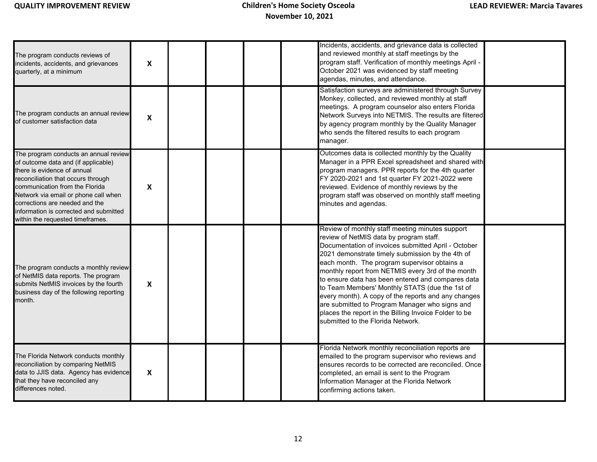| The program conducts reviews of<br>incidents, accidents, and grievances<br>quarterly, at a minimum                                                                                                                                                                                                                                          | $\boldsymbol{\mathsf{x}}$ |  |  | Incidents, accidents, and grievance data is collected<br>and reviewed monthly at staff meetings by the<br>program staff. Verification of monthly meetings April -<br>October 2021 was evidenced by staff meeting<br>agendas, minutes, and attendance.                                                                                                                                                                                                                                                                                                                                                                    |  |
|---------------------------------------------------------------------------------------------------------------------------------------------------------------------------------------------------------------------------------------------------------------------------------------------------------------------------------------------|---------------------------|--|--|--------------------------------------------------------------------------------------------------------------------------------------------------------------------------------------------------------------------------------------------------------------------------------------------------------------------------------------------------------------------------------------------------------------------------------------------------------------------------------------------------------------------------------------------------------------------------------------------------------------------------|--|
| The program conducts an annual review<br>of customer satisfaction data                                                                                                                                                                                                                                                                      | X                         |  |  | Satisfaction surveys are administered through Survey<br>Monkey, collected, and reviewed monthly at staff<br>meetings. A program counselor also enters Florida<br>Network Surveys into NETMIS. The results are filtered<br>by agency program monthly by the Quality Manager<br>who sends the filtered results to each program<br>manager.                                                                                                                                                                                                                                                                                 |  |
| The program conducts an annual review<br>of outcome data and (if applicable)<br>there is evidence of annual<br>reconciliation that occurs through<br>communication from the Florida<br>Network via email or phone call when<br>corrections are needed and the<br>information is corrected and submitted<br>within the requested timeframes. | X                         |  |  | Outcomes data is collected monthly by the Quality<br>Manager in a PPR Excel spreadsheet and shared with<br>program managers. PPR reports for the 4th quarter<br>FY 2020-2021 and 1st quarter FY 2021-2022 were<br>reviewed. Evidence of monthly reviews by the<br>program staff was observed on monthly staff meeting<br>minutes and agendas.                                                                                                                                                                                                                                                                            |  |
| The program conducts a monthly review<br>of NetMIS data reports. The program<br>submits NetMIS invoices by the fourth<br>business day of the following reporting<br>month.                                                                                                                                                                  | $\boldsymbol{\mathsf{X}}$ |  |  | Review of monthly staff meeting minutes support<br>review of NetMIS data by program staff.<br>Documentation of invoices submitted April - October<br>2021 demonstrate timely submission by the 4th of<br>each month. The program supervisor obtains a<br>monthly report from NETMIS every 3rd of the month<br>to ensure data has been entered and compares data<br>to Team Members' Monthly STATS (due the 1st of<br>every month). A copy of the reports and any changes<br>are submitted to Program Manager who signs and<br>places the report in the Billing Invoice Folder to be<br>submitted to the Florida Network. |  |
| The Florida Network conducts monthly<br>reconciliation by comparing NetMIS<br>data to JJIS data. Agency has evidence<br>that they have reconciled any<br>differences noted.                                                                                                                                                                 | $\boldsymbol{\mathsf{x}}$ |  |  | Florida Network monthly reconciliation reports are<br>emailed to the program supervisor who reviews and<br>ensures records to be corrected are reconciled. Once<br>completed, an email is sent to the Program<br>Information Manager at the Florida Network<br>confirming actions taken.                                                                                                                                                                                                                                                                                                                                 |  |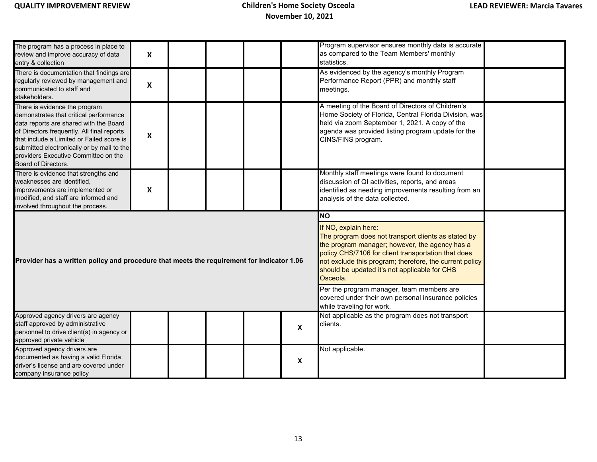| The program has a process in place to<br>review and improve accuracy of data<br>entry & collection                                                                                                                                                                                                                                 | $\boldsymbol{\mathsf{X}}$ |  |  |  |              | Program supervisor ensures monthly data is accurate<br>as compared to the Team Members' monthly<br>statistics.                                                                                                                            |  |  |  |
|------------------------------------------------------------------------------------------------------------------------------------------------------------------------------------------------------------------------------------------------------------------------------------------------------------------------------------|---------------------------|--|--|--|--------------|-------------------------------------------------------------------------------------------------------------------------------------------------------------------------------------------------------------------------------------------|--|--|--|
| There is documentation that findings are<br>regularly reviewed by management and<br>communicated to staff and<br>stakeholders.                                                                                                                                                                                                     | $\pmb{\mathsf{X}}$        |  |  |  |              | As evidenced by the agency's monthly Program<br>Performance Report (PPR) and monthly staff<br>meetings.                                                                                                                                   |  |  |  |
| There is evidence the program<br>demonstrates that critical performance<br>data reports are shared with the Board<br>of Directors frequently. All final reports<br>that include a Limited or Failed score is<br>submitted electronically or by mail to the<br>providers Executive Committee on the<br>Board of Directors.          | $\boldsymbol{\mathsf{X}}$ |  |  |  |              | A meeting of the Board of Directors of Children's<br>Home Society of Florida, Central Florida Division, was<br>held via zoom September 1, 2021. A copy of the<br>agenda was provided listing program update for the<br>CINS/FINS program. |  |  |  |
| There is evidence that strengths and<br>weaknesses are identified,<br>improvements are implemented or<br>modified, and staff are informed and<br>involved throughout the process.                                                                                                                                                  | X                         |  |  |  |              | Monthly staff meetings were found to document<br>discussion of QI activities, reports, and areas<br>identified as needing improvements resulting from an<br>analysis of the data collected.                                               |  |  |  |
|                                                                                                                                                                                                                                                                                                                                    |                           |  |  |  |              | <b>NO</b>                                                                                                                                                                                                                                 |  |  |  |
| If NO, explain here:<br>The program does not transport clients as stated by<br>the program manager; however, the agency has a<br>policy CHS/7106 for client transportation that does<br>Provider has a written policy and procedure that meets the requirement for Indicator 1.06<br>should be updated it's not applicable for CHS |                           |  |  |  |              |                                                                                                                                                                                                                                           |  |  |  |
|                                                                                                                                                                                                                                                                                                                                    |                           |  |  |  |              | not exclude this program; therefore, the current policy<br>Osceola.                                                                                                                                                                       |  |  |  |
|                                                                                                                                                                                                                                                                                                                                    |                           |  |  |  |              | Per the program manager, team members are<br>covered under their own personal insurance policies<br>while traveling for work.                                                                                                             |  |  |  |
| Approved agency drivers are agency<br>staff approved by administrative<br>personnel to drive client(s) in agency or<br>approved private vehicle                                                                                                                                                                                    |                           |  |  |  | $\mathbf{x}$ | Not applicable as the program does not transport<br>clients.                                                                                                                                                                              |  |  |  |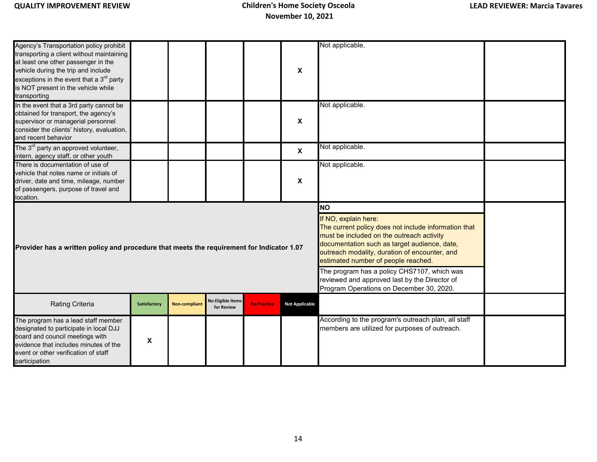| Agency's Transportation policy prohibit<br>transporting a client without maintaining<br>at least one other passenger in the<br>vehicle during the trip and include<br>exceptions in the event that a $3rd$ party<br>is NOT present in the vehicle while<br>transporting |              |                      |                                        |                                                                                           | X                         | Not applicable.                                                                                                                                                                                                                                                                                                               |  |
|-------------------------------------------------------------------------------------------------------------------------------------------------------------------------------------------------------------------------------------------------------------------------|--------------|----------------------|----------------------------------------|-------------------------------------------------------------------------------------------|---------------------------|-------------------------------------------------------------------------------------------------------------------------------------------------------------------------------------------------------------------------------------------------------------------------------------------------------------------------------|--|
| In the event that a 3rd party cannot be<br>obtained for transport, the agency's<br>supervisor or managerial personnel<br>consider the clients' history, evaluation,<br>and recent behavior                                                                              |              |                      |                                        |                                                                                           | X                         | Not applicable.                                                                                                                                                                                                                                                                                                               |  |
| The 3 <sup>rd</sup> party an approved volunteer,<br>intern, agency staff, or other youth                                                                                                                                                                                |              |                      |                                        |                                                                                           | $\boldsymbol{\mathsf{X}}$ | Not applicable.                                                                                                                                                                                                                                                                                                               |  |
| There is documentation of use of<br>vehicle that notes name or initials of<br>driver, date and time, mileage, number<br>of passengers, purpose of travel and<br>location.                                                                                               |              |                      |                                        |                                                                                           | X                         | Not applicable.                                                                                                                                                                                                                                                                                                               |  |
|                                                                                                                                                                                                                                                                         |              |                      |                                        | <b>NO</b><br>If NO, explain here:<br>The current policy does not include information that |                           |                                                                                                                                                                                                                                                                                                                               |  |
| Provider has a written policy and procedure that meets the requirement for Indicator 1.07                                                                                                                                                                               |              |                      |                                        |                                                                                           |                           | must be included on the outreach activity<br>documentation such as target audience, date,<br>outreach modality, duration of encounter, and<br>estimated number of people reached.<br>The program has a policy CHS7107, which was<br>reviewed and approved last by the Director of<br>Program Operations on December 30, 2020. |  |
| Rating Criteria                                                                                                                                                                                                                                                         | Satisfactory | <b>Non-compliant</b> | <b>No Eligible Items</b><br>for Review | <b>No Practice</b>                                                                        | <b>Not Applicable</b>     |                                                                                                                                                                                                                                                                                                                               |  |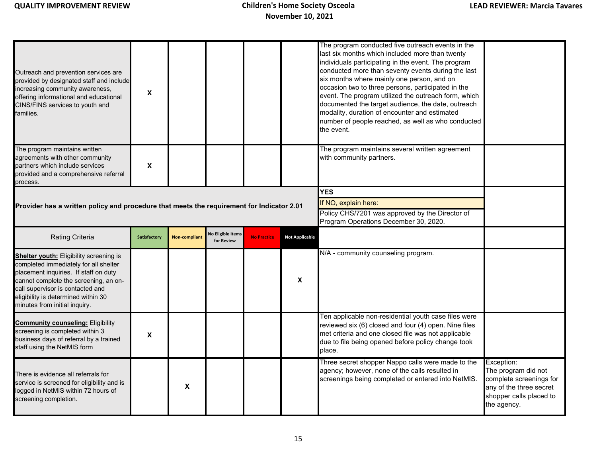| Outreach and prevention services are<br>provided by designated staff and include<br>increasing community awareness,<br>offering informational and educational<br>CINS/FINS services to youth and<br>families.                                                                         | $\mathsf{x}$ |                      |                                 |                    |                       | The program conducted five outreach events in the<br>last six months which included more than twenty<br>individuals participating in the event. The program<br>conducted more than seventy events during the last<br>six months where mainly one person, and on<br>occasion two to three persons, participated in the<br>event. The program utilized the outreach form, which<br>documented the target audience, the date, outreach<br>modality, duration of encounter and estimated<br>number of people reached, as well as who conducted<br>the event. |            |
|---------------------------------------------------------------------------------------------------------------------------------------------------------------------------------------------------------------------------------------------------------------------------------------|--------------|----------------------|---------------------------------|--------------------|-----------------------|----------------------------------------------------------------------------------------------------------------------------------------------------------------------------------------------------------------------------------------------------------------------------------------------------------------------------------------------------------------------------------------------------------------------------------------------------------------------------------------------------------------------------------------------------------|------------|
| The program maintains written<br>agreements with other community<br>partners which include services<br>provided and a comprehensive referral<br>process.                                                                                                                              | X            |                      |                                 |                    |                       | The program maintains several written agreement<br>with community partners.                                                                                                                                                                                                                                                                                                                                                                                                                                                                              |            |
|                                                                                                                                                                                                                                                                                       |              |                      |                                 |                    |                       | <b>YES</b>                                                                                                                                                                                                                                                                                                                                                                                                                                                                                                                                               |            |
| Provider has a written policy and procedure that meets the requirement for Indicator 2.01                                                                                                                                                                                             |              |                      |                                 |                    |                       | If NO, explain here:<br>Policy CHS/7201 was approved by the Director of<br>Program Operations December 30, 2020.                                                                                                                                                                                                                                                                                                                                                                                                                                         |            |
| <b>Rating Criteria</b>                                                                                                                                                                                                                                                                |              |                      |                                 |                    |                       |                                                                                                                                                                                                                                                                                                                                                                                                                                                                                                                                                          |            |
|                                                                                                                                                                                                                                                                                       | Satisfactory | <b>Non-compliant</b> | No Eligible Items<br>for Review | <b>No Practice</b> | <b>Not Applicable</b> |                                                                                                                                                                                                                                                                                                                                                                                                                                                                                                                                                          |            |
| <b>Shelter youth:</b> Eligibility screening is<br>completed immediately for all shelter<br>placement inquiries. If staff on duty<br>cannot complete the screening, an on-<br>call supervisor is contacted and<br>eligibility is determined within 30<br>minutes from initial inquiry. |              |                      |                                 |                    | X                     | N/A - community counseling program.                                                                                                                                                                                                                                                                                                                                                                                                                                                                                                                      |            |
| <b>Community counseling: Eligibility</b><br>screening is completed within 3<br>business days of referral by a trained<br>staff using the NetMIS form                                                                                                                                  | $\pmb{\chi}$ |                      |                                 |                    |                       | Ten applicable non-residential youth case files were<br>reviewed six (6) closed and four (4) open. Nine files<br>met criteria and one closed file was not applicable<br>due to file being opened before policy change took<br>place.<br>Three secret shopper Nappo calls were made to the                                                                                                                                                                                                                                                                | Exception: |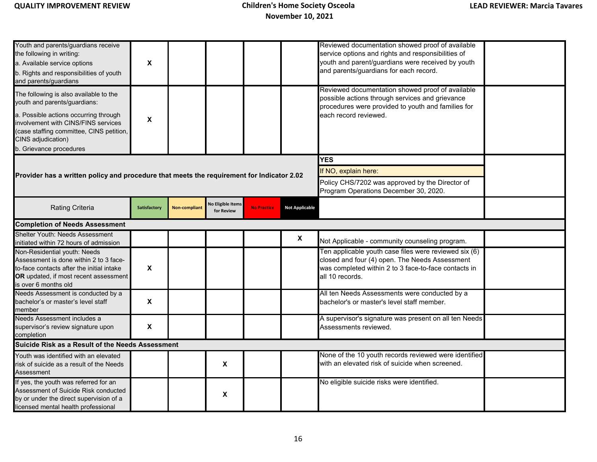| Youth and parents/guardians receive<br>the following in writing:<br>a. Available service options<br>b. Rights and responsibilities of youth<br>and parents/guardians<br>The following is also available to the<br>youth and parents/guardians:<br>a. Possible actions occurring through<br>involvement with CINS/FINS services<br>(case staffing committee, CINS petition,<br>CINS adjudication) | $\boldsymbol{\mathsf{X}}$<br>X |                      |                                        |                    |                           | Reviewed documentation showed proof of available<br>service options and rights and responsibilities of<br>youth and parent/guardians were received by youth<br>and parents/guardians for each record.<br>Reviewed documentation showed proof of available<br>possible actions through services and grievance<br>procedures were provided to youth and families for<br>each record reviewed. |  |
|--------------------------------------------------------------------------------------------------------------------------------------------------------------------------------------------------------------------------------------------------------------------------------------------------------------------------------------------------------------------------------------------------|--------------------------------|----------------------|----------------------------------------|--------------------|---------------------------|---------------------------------------------------------------------------------------------------------------------------------------------------------------------------------------------------------------------------------------------------------------------------------------------------------------------------------------------------------------------------------------------|--|
| b. Grievance procedures                                                                                                                                                                                                                                                                                                                                                                          |                                |                      |                                        |                    |                           |                                                                                                                                                                                                                                                                                                                                                                                             |  |
|                                                                                                                                                                                                                                                                                                                                                                                                  |                                |                      |                                        |                    |                           | <b>YES</b>                                                                                                                                                                                                                                                                                                                                                                                  |  |
| Provider has a written policy and procedure that meets the requirement for Indicator 2.02                                                                                                                                                                                                                                                                                                        |                                |                      |                                        |                    |                           | If NO, explain here:                                                                                                                                                                                                                                                                                                                                                                        |  |
|                                                                                                                                                                                                                                                                                                                                                                                                  |                                |                      |                                        |                    |                           | Policy CHS/7202 was approved by the Director of<br>Program Operations December 30, 2020.                                                                                                                                                                                                                                                                                                    |  |
| <b>Rating Criteria</b>                                                                                                                                                                                                                                                                                                                                                                           | Satisfactory                   | <b>Non-compliant</b> | <b>No Eligible Items</b><br>for Review | <b>No Practice</b> | <b>Not Applicable</b>     |                                                                                                                                                                                                                                                                                                                                                                                             |  |
| <b>Completion of Needs Assessment</b>                                                                                                                                                                                                                                                                                                                                                            |                                |                      |                                        |                    |                           |                                                                                                                                                                                                                                                                                                                                                                                             |  |
| Shelter Youth: Needs Assessment<br>initiated within 72 hours of admission                                                                                                                                                                                                                                                                                                                        |                                |                      |                                        |                    | $\boldsymbol{\mathsf{x}}$ | Not Applicable - community counseling program.                                                                                                                                                                                                                                                                                                                                              |  |
| Non-Residential youth: Needs<br>Assessment is done within 2 to 3 face-<br>to-face contacts after the initial intake<br>OR updated, if most recent assessment<br>is over 6 months old                                                                                                                                                                                                             | $\boldsymbol{\mathsf{X}}$      |                      |                                        |                    |                           | Ten applicable youth case files were reviewed six (6)<br>closed and four (4) open. The Needs Assessment<br>was completed within 2 to 3 face-to-face contacts in<br>all 10 records.                                                                                                                                                                                                          |  |
| Needs Assessment is conducted by a<br>bachelor's or master's level staff<br>member                                                                                                                                                                                                                                                                                                               | $\boldsymbol{\mathsf{x}}$      |                      |                                        |                    |                           | All ten Needs Assessments were conducted by a<br>bachelor's or master's level staff member.                                                                                                                                                                                                                                                                                                 |  |
| Needs Assessment includes a<br>supervisor's review signature upon<br>completion                                                                                                                                                                                                                                                                                                                  | $\boldsymbol{\mathsf{X}}$      |                      |                                        |                    |                           | A supervisor's signature was present on all ten Needs<br>Assessments reviewed.                                                                                                                                                                                                                                                                                                              |  |
| Suicide Risk as a Result of the Needs Assessment                                                                                                                                                                                                                                                                                                                                                 |                                |                      |                                        |                    |                           |                                                                                                                                                                                                                                                                                                                                                                                             |  |
| Youth was identified with an elevated<br>risk of suicide as a result of the Needs<br>Assessment                                                                                                                                                                                                                                                                                                  |                                |                      | X                                      |                    |                           | None of the 10 youth records reviewed were identified<br>with an elevated risk of suicide when screened.                                                                                                                                                                                                                                                                                    |  |
| If yes, the youth was referred for an<br>Assessment of Suicide Risk conducted<br>by or under the direct supervision of a<br>licensed mental health professional                                                                                                                                                                                                                                  |                                |                      | X                                      |                    |                           | No eligible suicide risks were identified.                                                                                                                                                                                                                                                                                                                                                  |  |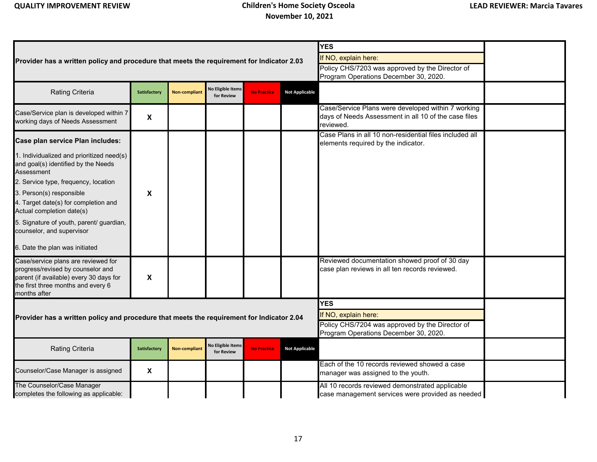|                                                                                                |                    |                      |                                        |                    |                       | <b>YES</b>                                                                                                 |  |
|------------------------------------------------------------------------------------------------|--------------------|----------------------|----------------------------------------|--------------------|-----------------------|------------------------------------------------------------------------------------------------------------|--|
| Provider has a written policy and procedure that meets the requirement for Indicator 2.03      |                    |                      |                                        |                    |                       | If NO, explain here:                                                                                       |  |
|                                                                                                |                    |                      |                                        |                    |                       | Policy CHS/7203 was approved by the Director of                                                            |  |
|                                                                                                |                    |                      |                                        |                    |                       | Program Operations December 30, 2020.                                                                      |  |
| Rating Criteria                                                                                | Satisfactory       | <b>Non-compliant</b> | <b>Jo Eligible Items</b><br>for Review | <b>No Practice</b> | <b>Not Applicable</b> |                                                                                                            |  |
| Case/Service plan is developed within 7                                                        |                    |                      |                                        |                    |                       | Case/Service Plans were developed within 7 working<br>days of Needs Assessment in all 10 of the case files |  |
| working days of Needs Assessment                                                               | $\pmb{\mathsf{X}}$ |                      |                                        |                    |                       | reviewed.                                                                                                  |  |
| Case plan service Plan includes:                                                               |                    |                      |                                        |                    |                       | Case Plans in all 10 non-residential files included all<br>elements required by the indicator.             |  |
|                                                                                                |                    |                      |                                        |                    |                       |                                                                                                            |  |
| 1. Individualized and prioritized need(s)<br>and goal(s) identified by the Needs<br>Assessment |                    |                      |                                        |                    |                       |                                                                                                            |  |
| 2. Service type, frequency, location                                                           |                    |                      |                                        |                    |                       |                                                                                                            |  |
| 3. Person(s) responsible                                                                       | X                  |                      |                                        |                    |                       |                                                                                                            |  |
| 4. Target date(s) for completion and<br>Actual completion date(s)                              |                    |                      |                                        |                    |                       |                                                                                                            |  |
| 5. Signature of youth, parent/ guardian,<br>counselor, and supervisor                          |                    |                      |                                        |                    |                       |                                                                                                            |  |
| 6. Date the plan was initiated                                                                 |                    |                      |                                        |                    |                       |                                                                                                            |  |
| Case/service plans are reviewed for                                                            |                    |                      |                                        |                    |                       | Reviewed documentation showed proof of 30 day                                                              |  |
| progress/revised by counselor and                                                              |                    |                      |                                        |                    |                       | case plan reviews in all ten records reviewed.                                                             |  |
| parent (if available) every 30 days for                                                        | X                  |                      |                                        |                    |                       |                                                                                                            |  |
| the first three months and every 6<br>months after                                             |                    |                      |                                        |                    |                       |                                                                                                            |  |
|                                                                                                |                    |                      |                                        |                    |                       | <b>YES</b>                                                                                                 |  |
| Provider has a written policy and procedure that meets the requirement for Indicator 2.04      |                    |                      |                                        |                    |                       | If NO, explain here:                                                                                       |  |
|                                                                                                |                    |                      |                                        |                    |                       | Policy CHS/7204 was approved by the Director of                                                            |  |
|                                                                                                |                    |                      |                                        |                    |                       | Program Operations December 30, 2020.                                                                      |  |
| Rating Criteria                                                                                | Satisfactory       | <b>Non-compliant</b> | <b>Jo Eligible Items</b><br>for Review | <b>No Practice</b> | <b>Not Applicable</b> |                                                                                                            |  |
| Counselor/Case Manager is assigned                                                             | $\pmb{\mathsf{X}}$ |                      |                                        |                    |                       | Each of the 10 records reviewed showed a case<br>manager was assigned to the youth.                        |  |
| The Counselor/Case Manager<br>completes the following as applicable:                           |                    |                      |                                        |                    |                       | All 10 records reviewed demonstrated applicable<br>case management services were provided as needed        |  |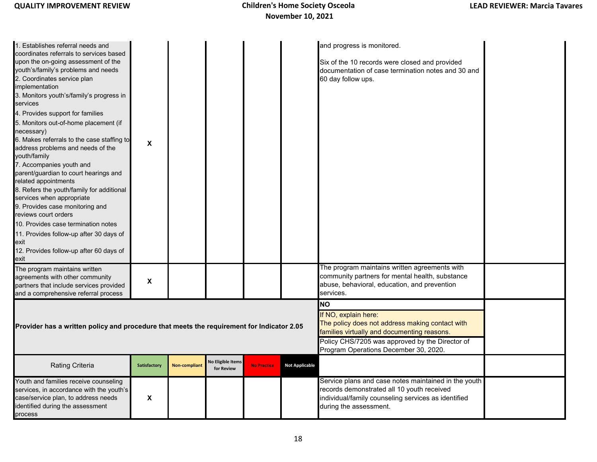| 1. Establishes referral needs and<br>coordinates referrals to services based<br>upon the on-going assessment of the<br>youth's/family's problems and needs<br>2. Coordinates service plan<br>implementation<br>3. Monitors youth's/family's progress in<br>services<br>4. Provides support for families<br>5. Monitors out-of-home placement (if<br>necessary)<br>6. Makes referrals to the case staffing to<br>address problems and needs of the<br>youth/family<br>7. Accompanies youth and<br>parent/guardian to court hearings and<br>related appointments<br>8. Refers the youth/family for additional<br>services when appropriate<br>9. Provides case monitoring and<br>reviews court orders<br>10. Provides case termination notes<br>11. Provides follow-up after 30 days of<br>exit<br>12. Provides follow-up after 60 days of<br>exit | $\pmb{\chi}$       |                      |                                        |                    |                       | and progress is monitored.<br>Six of the 10 records were closed and provided<br>documentation of case termination notes and 30 and<br>60 day follow ups.                                                                        |  |
|--------------------------------------------------------------------------------------------------------------------------------------------------------------------------------------------------------------------------------------------------------------------------------------------------------------------------------------------------------------------------------------------------------------------------------------------------------------------------------------------------------------------------------------------------------------------------------------------------------------------------------------------------------------------------------------------------------------------------------------------------------------------------------------------------------------------------------------------------|--------------------|----------------------|----------------------------------------|--------------------|-----------------------|---------------------------------------------------------------------------------------------------------------------------------------------------------------------------------------------------------------------------------|--|
| The program maintains written<br>agreements with other community<br>partners that include services provided<br>and a comprehensive referral process                                                                                                                                                                                                                                                                                                                                                                                                                                                                                                                                                                                                                                                                                              | X                  |                      |                                        |                    |                       | The program maintains written agreements with<br>community partners for mental health, substance<br>abuse, behavioral, education, and prevention<br>services.                                                                   |  |
| Provider has a written policy and procedure that meets the requirement for Indicator 2.05                                                                                                                                                                                                                                                                                                                                                                                                                                                                                                                                                                                                                                                                                                                                                        |                    |                      |                                        |                    |                       | <b>NO</b><br>If NO, explain here:<br>The policy does not address making contact with<br>families virtually and documenting reasons.<br>Policy CHS/7205 was approved by the Director of<br>Program Operations December 30, 2020. |  |
| Rating Criteria                                                                                                                                                                                                                                                                                                                                                                                                                                                                                                                                                                                                                                                                                                                                                                                                                                  | Satisfactory       | <b>Non-compliant</b> | <b>No Eligible Items</b><br>for Review | <b>No Practice</b> | <b>Not Applicable</b> |                                                                                                                                                                                                                                 |  |
| Youth and families receive counseling<br>services, in accordance with the youth's<br>case/service plan, to address needs<br>identified during the assessment<br>process                                                                                                                                                                                                                                                                                                                                                                                                                                                                                                                                                                                                                                                                          | $\pmb{\mathsf{x}}$ |                      |                                        |                    |                       | Service plans and case notes maintained in the youth<br>records demonstrated all 10 youth received<br>individual/family counseling services as identified<br>during the assessment.                                             |  |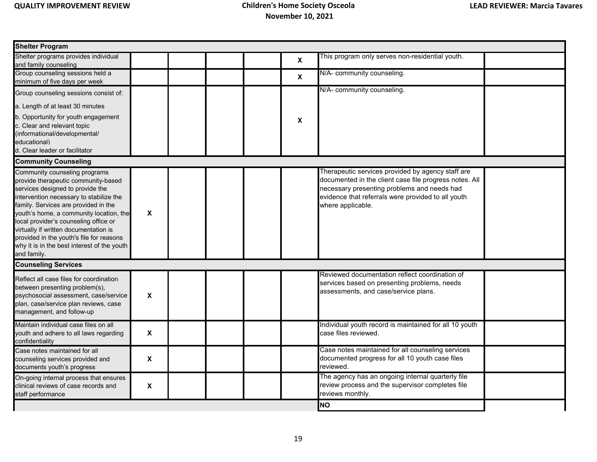| <b>Shelter Program</b>                                                                                                                                                                                                                                                                                                                                                                                                             |                           |  |          |                                                                                                                                                                                                                                       |  |
|------------------------------------------------------------------------------------------------------------------------------------------------------------------------------------------------------------------------------------------------------------------------------------------------------------------------------------------------------------------------------------------------------------------------------------|---------------------------|--|----------|---------------------------------------------------------------------------------------------------------------------------------------------------------------------------------------------------------------------------------------|--|
| Shelter programs provides individual                                                                                                                                                                                                                                                                                                                                                                                               |                           |  | X        | This program only serves non-residential youth.                                                                                                                                                                                       |  |
| and family counseling                                                                                                                                                                                                                                                                                                                                                                                                              |                           |  |          |                                                                                                                                                                                                                                       |  |
| Group counseling sessions held a<br>minimum of five days per week                                                                                                                                                                                                                                                                                                                                                                  |                           |  | <b>X</b> | N/A- community counseling.                                                                                                                                                                                                            |  |
| Group counseling sessions consist of:                                                                                                                                                                                                                                                                                                                                                                                              |                           |  |          | N/A- community counseling.                                                                                                                                                                                                            |  |
| a. Length of at least 30 minutes                                                                                                                                                                                                                                                                                                                                                                                                   |                           |  |          |                                                                                                                                                                                                                                       |  |
| b. Opportunity for youth engagement<br>c. Clear and relevant topic<br>(informational/developmental/<br>educational)<br>d. Clear leader or facilitator                                                                                                                                                                                                                                                                              |                           |  | X        |                                                                                                                                                                                                                                       |  |
| <b>Community Counseling</b>                                                                                                                                                                                                                                                                                                                                                                                                        |                           |  |          |                                                                                                                                                                                                                                       |  |
| Community counseling programs<br>provide therapeutic community-based<br>services designed to provide the<br>intervention necessary to stabilize the<br>family. Services are provided in the<br>youth's home, a community location, the<br>local provider's counseling office or<br>virtually if written documentation is<br>provided in the youth's file for reasons<br>why it is in the best interest of the youth<br>and family. | X                         |  |          | Therapeutic services provided by agency staff are<br>documented in the client case file progress notes. All<br>necessary presenting problems and needs had<br>evidence that referrals were provided to all youth<br>where applicable. |  |
| <b>Counseling Services</b>                                                                                                                                                                                                                                                                                                                                                                                                         |                           |  |          |                                                                                                                                                                                                                                       |  |
| Reflect all case files for coordination<br>between presenting problem(s),<br>psychosocial assessment, case/service<br>plan, case/service plan reviews, case<br>management, and follow-up                                                                                                                                                                                                                                           | X                         |  |          | Reviewed documentation reflect coordination of<br>services based on presenting problems, needs<br>assessments, and case/service plans.                                                                                                |  |
| Maintain individual case files on all<br>youth and adhere to all laws regarding<br>confidentiality                                                                                                                                                                                                                                                                                                                                 | $\boldsymbol{\mathsf{x}}$ |  |          | Individual youth record is maintained for all 10 youth<br>case files reviewed.                                                                                                                                                        |  |
| Case notes maintained for all<br>counseling services provided and<br>documents youth's progress                                                                                                                                                                                                                                                                                                                                    | X                         |  |          | Case notes maintained for all counseling services<br>documented progress for all 10 youth case files<br>reviewed.                                                                                                                     |  |
| On-going internal process that ensures<br>clinical reviews of case records and<br>staff performance                                                                                                                                                                                                                                                                                                                                | X                         |  |          | The agency has an ongoing internal quarterly file<br>review process and the supervisor completes file<br>reviews monthly.                                                                                                             |  |
|                                                                                                                                                                                                                                                                                                                                                                                                                                    |                           |  |          | <b>NO</b>                                                                                                                                                                                                                             |  |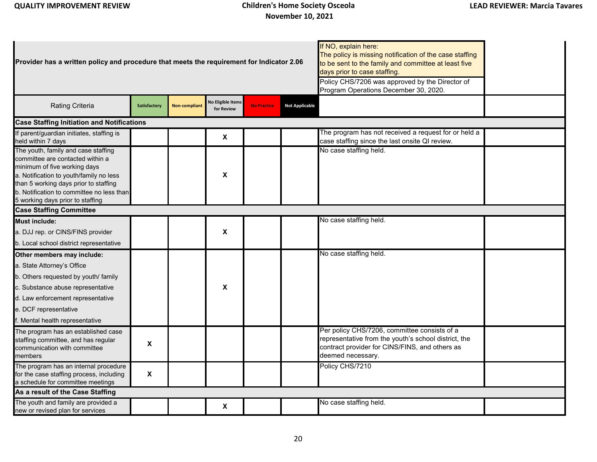| Provider has a written policy and procedure that meets the requirement for Indicator 2.06                                                                                                                                                                                    |              |                      |                                 |                    | If NO, explain here:<br>The policy is missing notification of the case staffing<br>to be sent to the family and committee at least five<br>days prior to case staffing.<br>Policy CHS/7206 was approved by the Director of<br>Program Operations December 30, 2020. |                                                                                                                                                                             |  |
|------------------------------------------------------------------------------------------------------------------------------------------------------------------------------------------------------------------------------------------------------------------------------|--------------|----------------------|---------------------------------|--------------------|---------------------------------------------------------------------------------------------------------------------------------------------------------------------------------------------------------------------------------------------------------------------|-----------------------------------------------------------------------------------------------------------------------------------------------------------------------------|--|
| <b>Rating Criteria</b>                                                                                                                                                                                                                                                       | Satisfactory | <b>Non-compliant</b> | lo Eligible Items<br>for Review | <b>No Practice</b> | <b>Not Applicable</b>                                                                                                                                                                                                                                               |                                                                                                                                                                             |  |
| <b>Case Staffing Initiation and Notifications</b>                                                                                                                                                                                                                            |              |                      |                                 |                    |                                                                                                                                                                                                                                                                     |                                                                                                                                                                             |  |
| If parent/guardian initiates, staffing is<br>held within 7 days                                                                                                                                                                                                              |              |                      | X                               |                    |                                                                                                                                                                                                                                                                     | The program has not received a request for or held a<br>case staffing since the last onsite QI review.                                                                      |  |
| The youth, family and case staffing<br>committee are contacted within a<br>minimum of five working days<br>a. Notification to youth/family no less<br>than 5 working days prior to staffing<br>b. Notification to committee no less than<br>5 working days prior to staffing |              |                      | $\boldsymbol{\mathsf{X}}$       |                    |                                                                                                                                                                                                                                                                     | No case staffing held.                                                                                                                                                      |  |
| <b>Case Staffing Committee</b>                                                                                                                                                                                                                                               |              |                      |                                 |                    |                                                                                                                                                                                                                                                                     |                                                                                                                                                                             |  |
| <b>Must include:</b><br>a. DJJ rep. or CINS/FINS provider<br>b. Local school district representative                                                                                                                                                                         |              |                      | $\boldsymbol{\mathsf{X}}$       |                    |                                                                                                                                                                                                                                                                     | No case staffing held.                                                                                                                                                      |  |
| Other members may include:<br>a. State Attorney's Office<br>b. Others requested by youth/ family<br>c. Substance abuse representative<br>d. Law enforcement representative<br>e. DCF representative<br>f. Mental health representative                                       |              |                      | $\boldsymbol{\mathsf{X}}$       |                    |                                                                                                                                                                                                                                                                     | No case staffing held.                                                                                                                                                      |  |
| The program has an established case<br>staffing committee, and has regular<br>communication with committee<br>members                                                                                                                                                        | X            |                      |                                 |                    |                                                                                                                                                                                                                                                                     | Per policy CHS/7206, committee consists of a<br>representative from the youth's school district, the<br>contract provider for CINS/FINS, and others as<br>deemed necessary. |  |
| The program has an internal procedure<br>for the case staffing process, including<br>a schedule for committee meetings                                                                                                                                                       | X            |                      |                                 |                    |                                                                                                                                                                                                                                                                     | Policy CHS/7210                                                                                                                                                             |  |
| As a result of the Case Staffing                                                                                                                                                                                                                                             |              |                      |                                 |                    |                                                                                                                                                                                                                                                                     |                                                                                                                                                                             |  |
| The youth and family are provided a<br>new or revised plan for services                                                                                                                                                                                                      |              |                      | X                               |                    |                                                                                                                                                                                                                                                                     | No case staffing held.                                                                                                                                                      |  |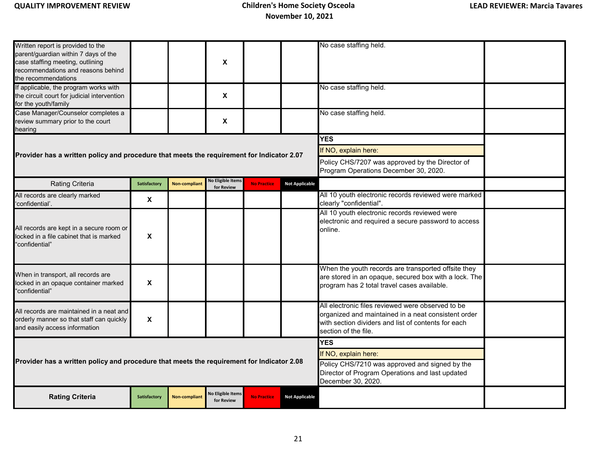| Written report is provided to the<br>parent/guardian within 7 days of the<br>case staffing meeting, outlining<br>recommendations and reasons behind<br>the recommendations |                           |                      | X                                      |                                                                                                                         |                       | No case staffing held.                                                                                                                                                                  |  |
|----------------------------------------------------------------------------------------------------------------------------------------------------------------------------|---------------------------|----------------------|----------------------------------------|-------------------------------------------------------------------------------------------------------------------------|-----------------------|-----------------------------------------------------------------------------------------------------------------------------------------------------------------------------------------|--|
| If applicable, the program works with<br>the circuit court for judicial intervention<br>for the youth/family                                                               |                           |                      | $\boldsymbol{\mathsf{x}}$              |                                                                                                                         |                       | No case staffing held.                                                                                                                                                                  |  |
| Case Manager/Counselor completes a<br>review summary prior to the court<br>hearing                                                                                         |                           |                      | X                                      |                                                                                                                         |                       | No case staffing held.                                                                                                                                                                  |  |
|                                                                                                                                                                            |                           |                      |                                        |                                                                                                                         |                       | <b>YES</b>                                                                                                                                                                              |  |
| Provider has a written policy and procedure that meets the requirement for Indicator 2.07                                                                                  |                           |                      |                                        |                                                                                                                         |                       | If NO, explain here:                                                                                                                                                                    |  |
|                                                                                                                                                                            |                           |                      |                                        |                                                                                                                         |                       | Policy CHS/7207 was approved by the Director of<br>Program Operations December 30, 2020.                                                                                                |  |
| <b>Rating Criteria</b>                                                                                                                                                     | Satisfactory              | <b>Non-compliant</b> | <b>No Eligible Items</b><br>for Review | <b>No Practice</b>                                                                                                      | <b>Not Applicable</b> |                                                                                                                                                                                         |  |
| All records are clearly marked<br>'confidential'.                                                                                                                          | X                         |                      |                                        |                                                                                                                         |                       | All 10 youth electronic records reviewed were marked<br>clearly "confidential".                                                                                                         |  |
| All records are kept in a secure room or<br>locked in a file cabinet that is marked<br>"confidential"                                                                      | X                         |                      |                                        |                                                                                                                         |                       | All 10 youth electronic records reviewed were<br>electronic and required a secure password to access<br>online.                                                                         |  |
| When in transport, all records are<br>locked in an opaque container marked<br>'confidential"                                                                               | $\boldsymbol{\mathsf{X}}$ |                      |                                        |                                                                                                                         |                       | When the youth records are transported offsite they<br>are stored in an opaque, secured box with a lock. The<br>program has 2 total travel cases available.                             |  |
| All records are maintained in a neat and<br>orderly manner so that staff can quickly<br>and easily access information                                                      | $\boldsymbol{\mathsf{X}}$ |                      |                                        |                                                                                                                         |                       | All electronic files reviewed were observed to be<br>organized and maintained in a neat consistent order<br>with section dividers and list of contents for each<br>section of the file. |  |
|                                                                                                                                                                            |                           |                      |                                        |                                                                                                                         |                       | <b>YES</b>                                                                                                                                                                              |  |
|                                                                                                                                                                            |                           |                      |                                        |                                                                                                                         |                       | If NO, explain here:                                                                                                                                                                    |  |
| Provider has a written policy and procedure that meets the requirement for Indicator 2.08                                                                                  |                           |                      |                                        | Policy CHS/7210 was approved and signed by the<br>Director of Program Operations and last updated<br>December 30, 2020. |                       |                                                                                                                                                                                         |  |
| <b>Rating Criteria</b>                                                                                                                                                     | Satisfactory              | <b>Non-compliant</b> | No Eligible Items<br>for Review        | <b>No Practice</b>                                                                                                      | <b>Not Applicable</b> |                                                                                                                                                                                         |  |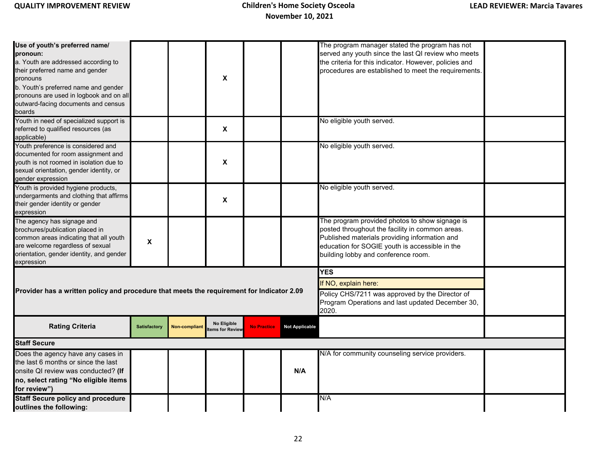| Use of youth's preferred name/<br>pronoun:<br>a. Youth are addressed according to<br>their preferred name and gender<br>pronouns<br>b. Youth's preferred name and gender<br>pronouns are used in logbook and on all<br>outward-facing documents and census<br>boards |                           |                      | X                              |                    |                                                                                                                                      | The program manager stated the program has not<br>served any youth since the last QI review who meets<br>the criteria for this indicator. However, policies and<br>procedures are established to meet the requirements.                     |  |
|----------------------------------------------------------------------------------------------------------------------------------------------------------------------------------------------------------------------------------------------------------------------|---------------------------|----------------------|--------------------------------|--------------------|--------------------------------------------------------------------------------------------------------------------------------------|---------------------------------------------------------------------------------------------------------------------------------------------------------------------------------------------------------------------------------------------|--|
| Youth in need of specialized support is<br>referred to qualified resources (as<br>applicable)                                                                                                                                                                        |                           |                      | X                              |                    |                                                                                                                                      | No eligible youth served.                                                                                                                                                                                                                   |  |
| Youth preference is considered and<br>documented for room assignment and<br>youth is not roomed in isolation due to<br>sexual orientation, gender identity, or<br>gender expression                                                                                  |                           |                      | $\pmb{\mathsf{x}}$             |                    |                                                                                                                                      | No eligible youth served.                                                                                                                                                                                                                   |  |
| Youth is provided hygiene products,<br>undergarments and clothing that affirms<br>their gender identity or gender<br>expression                                                                                                                                      |                           |                      | X                              |                    |                                                                                                                                      | No eligible youth served.                                                                                                                                                                                                                   |  |
| The agency has signage and<br>brochures/publication placed in<br>common areas indicating that all youth<br>are welcome regardless of sexual<br>orientation, gender identity, and gender<br>expression                                                                | $\boldsymbol{\mathsf{X}}$ |                      |                                |                    |                                                                                                                                      | The program provided photos to show signage is<br>posted throughout the facility in common areas.<br>Published materials providing information and<br>education for SOGIE youth is accessible in the<br>building lobby and conference room. |  |
|                                                                                                                                                                                                                                                                      |                           |                      |                                |                    |                                                                                                                                      | <b>YES</b>                                                                                                                                                                                                                                  |  |
| Provider has a written policy and procedure that meets the requirement for Indicator 2.09                                                                                                                                                                            |                           |                      |                                |                    | If NO, explain here:<br>Policy CHS/7211 was approved by the Director of<br>Program Operations and last updated December 30,<br>2020. |                                                                                                                                                                                                                                             |  |
| <b>Rating Criteria</b>                                                                                                                                                                                                                                               | <b>Satisfactory</b>       | <b>Non-compliant</b> | No Eligible<br>tems for Review | <b>No Practice</b> | <b>Not Applicable</b>                                                                                                                |                                                                                                                                                                                                                                             |  |
| <b>Staff Secure</b>                                                                                                                                                                                                                                                  |                           |                      |                                |                    |                                                                                                                                      |                                                                                                                                                                                                                                             |  |
| Does the agency have any cases in<br>the last 6 months or since the last<br>onsite QI review was conducted? (If<br>no, select rating "No eligible items<br>for review")                                                                                              |                           |                      |                                |                    | N/A                                                                                                                                  | N/A for community counseling service providers.                                                                                                                                                                                             |  |
| <b>Staff Secure policy and procedure</b><br>outlines the following:                                                                                                                                                                                                  |                           |                      |                                |                    |                                                                                                                                      | N/A                                                                                                                                                                                                                                         |  |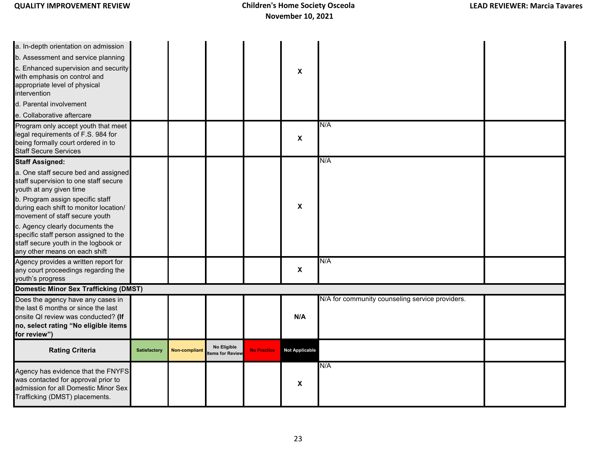| a. In-depth orientation on admission<br>b. Assessment and service planning<br>c. Enhanced supervision and security<br>with emphasis on control and<br>appropriate level of physical<br>intervention<br>d. Parental involvement<br>e. Collaborative aftercare                                                                                                                                                                                    |              |                      |                                |                    | X                     |                                                 |  |
|-------------------------------------------------------------------------------------------------------------------------------------------------------------------------------------------------------------------------------------------------------------------------------------------------------------------------------------------------------------------------------------------------------------------------------------------------|--------------|----------------------|--------------------------------|--------------------|-----------------------|-------------------------------------------------|--|
| Program only accept youth that meet<br>legal requirements of F.S. 984 for<br>being formally court ordered in to<br><b>Staff Secure Services</b>                                                                                                                                                                                                                                                                                                 |              |                      |                                |                    | X                     | N/A                                             |  |
| <b>Staff Assigned:</b><br>a. One staff secure bed and assigned<br>staff supervision to one staff secure<br>youth at any given time<br>b. Program assign specific staff<br>during each shift to monitor location/<br>movement of staff secure youth<br>c. Agency clearly documents the<br>specific staff person assigned to the<br>staff secure youth in the logbook or<br>any other means on each shift<br>Agency provides a written report for |              |                      |                                |                    | X                     | N/A<br>N/A                                      |  |
| any court proceedings regarding the<br>youth's progress                                                                                                                                                                                                                                                                                                                                                                                         |              |                      |                                |                    | X                     |                                                 |  |
| <b>Domestic Minor Sex Trafficking (DMST)</b><br>Does the agency have any cases in<br>the last 6 months or since the last<br>onsite QI review was conducted? (If<br>no, select rating "No eligible items<br>for review")                                                                                                                                                                                                                         |              |                      |                                |                    | N/A                   | N/A for community counseling service providers. |  |
| <b>Rating Criteria</b>                                                                                                                                                                                                                                                                                                                                                                                                                          | Satisfactory | <b>Non-compliant</b> | No Eligible<br>tems for Review | <b>No Practice</b> | <b>Not Applicable</b> |                                                 |  |
| Agency has evidence that the FNYFS<br>was contacted for approval prior to<br>admission for all Domestic Minor Sex<br>Trafficking (DMST) placements.                                                                                                                                                                                                                                                                                             |              |                      |                                |                    | X                     | N/A                                             |  |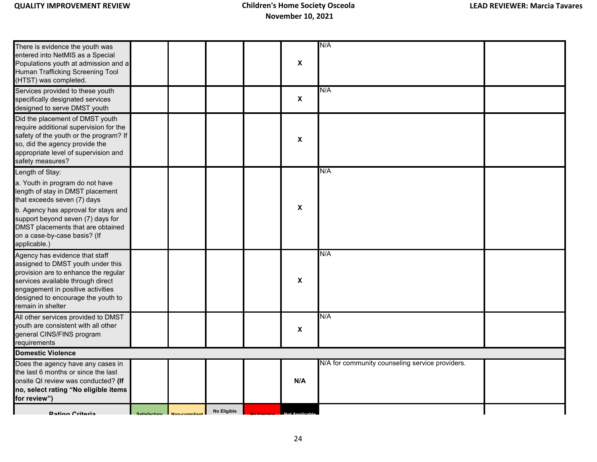| There is evidence the youth was<br>entered into NetMIS as a Special<br>Populations youth at admission and a<br>Human Trafficking Screening Tool<br>(HTST) was completed.                                                                         |              |              |             | $\pmb{\chi}$              | N/A                                             |  |
|--------------------------------------------------------------------------------------------------------------------------------------------------------------------------------------------------------------------------------------------------|--------------|--------------|-------------|---------------------------|-------------------------------------------------|--|
| Services provided to these youth<br>specifically designated services<br>designed to serve DMST youth                                                                                                                                             |              |              |             | $\boldsymbol{\mathsf{x}}$ | N/A                                             |  |
| Did the placement of DMST youth<br>require additional supervision for the<br>safety of the youth or the program? If<br>so, did the agency provide the<br>appropriate level of supervision and<br>safety measures?                                |              |              |             | $\pmb{\chi}$              |                                                 |  |
| Length of Stay:<br>a. Youth in program do not have<br>length of stay in DMST placement<br>that exceeds seven (7) days                                                                                                                            |              |              |             |                           | N/A                                             |  |
| b. Agency has approval for stays and<br>support beyond seven (7) days for<br>DMST placements that are obtained<br>on a case-by-case basis? (If<br>applicable.)                                                                                   |              |              |             | X                         |                                                 |  |
| Agency has evidence that staff<br>assigned to DMST youth under this<br>provision are to enhance the regular<br>services available through direct<br>engagement in positive activities<br>designed to encourage the youth to<br>remain in shelter |              |              |             | X                         | N/A                                             |  |
| All other services provided to DMST<br>youth are consistent with all other<br>general CINS/FINS program<br>requirements                                                                                                                          |              |              |             | X                         | N/A                                             |  |
| <b>Domestic Violence</b>                                                                                                                                                                                                                         |              |              |             |                           |                                                 |  |
| Does the agency have any cases in<br>the last 6 months or since the last<br>onsite QI review was conducted? (If<br>no, select rating "No eligible items<br>for review")                                                                          |              |              |             | N/A                       | N/A for community counseling service providers. |  |
| <b>Rating Critoria</b>                                                                                                                                                                                                                           | Satisfactory | Non-compliar | No Eligible |                           |                                                 |  |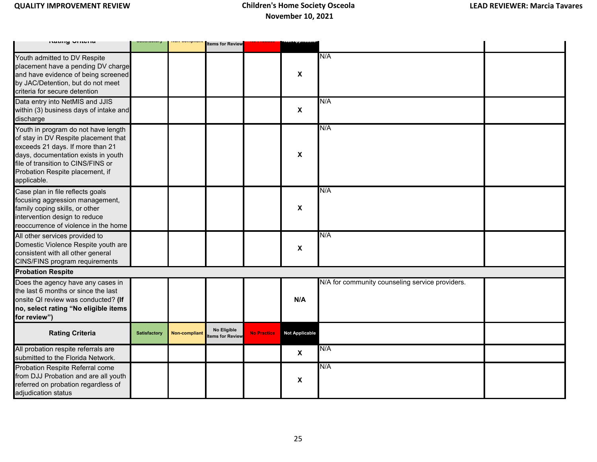| <b>INGLIFIY VITIGHTG</b>                                                                                                                                                                                                                       |                     | non-oompnam          | <b>Items for Review</b>        |                    |                           |                                                 |  |
|------------------------------------------------------------------------------------------------------------------------------------------------------------------------------------------------------------------------------------------------|---------------------|----------------------|--------------------------------|--------------------|---------------------------|-------------------------------------------------|--|
| Youth admitted to DV Respite<br>placement have a pending DV charge<br>and have evidence of being screened<br>by JAC/Detention, but do not meet<br>criteria for secure detention                                                                |                     |                      |                                |                    | $\boldsymbol{\mathsf{X}}$ | N/A                                             |  |
| Data entry into NetMIS and JJIS<br>within (3) business days of intake and<br>discharge                                                                                                                                                         |                     |                      |                                |                    | $\boldsymbol{\mathsf{X}}$ | N/A                                             |  |
| Youth in program do not have length<br>of stay in DV Respite placement that<br>exceeds 21 days. If more than 21<br>days, documentation exists in youth<br>file of transition to CINS/FINS or<br>Probation Respite placement, if<br>applicable. |                     |                      |                                |                    | $\boldsymbol{\mathsf{x}}$ | N/A                                             |  |
| Case plan in file reflects goals<br>focusing aggression management,<br>family coping skills, or other<br>intervention design to reduce<br>reoccurrence of violence in the home                                                                 |                     |                      |                                |                    | $\boldsymbol{\mathsf{X}}$ | N/A                                             |  |
| All other services provided to<br>Domestic Violence Respite youth are<br>consistent with all other general<br>CINS/FINS program requirements                                                                                                   |                     |                      |                                |                    | $\boldsymbol{\mathsf{X}}$ | N/A                                             |  |
| <b>Probation Respite</b>                                                                                                                                                                                                                       |                     |                      |                                |                    |                           |                                                 |  |
| Does the agency have any cases in<br>the last 6 months or since the last<br>onsite QI review was conducted? (If<br>no, select rating "No eligible items<br>for review")                                                                        |                     |                      |                                |                    | N/A                       | N/A for community counseling service providers. |  |
| <b>Rating Criteria</b>                                                                                                                                                                                                                         | <b>Satisfactory</b> | <b>Non-compliant</b> | No Eligible<br>tems for Review | <b>No Practice</b> | <b>Not Applicable</b>     |                                                 |  |
| All probation respite referrals are<br>submitted to the Florida Network.                                                                                                                                                                       |                     |                      |                                |                    | $\boldsymbol{\mathsf{x}}$ | N/A                                             |  |
| Probation Respite Referral come<br>from DJJ Probation and are all youth<br>referred on probation regardless of<br>adjudication status                                                                                                          |                     |                      |                                |                    | $\boldsymbol{\mathsf{X}}$ | N/A                                             |  |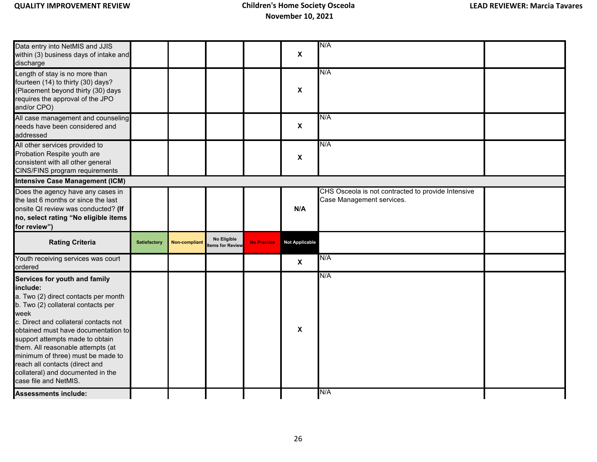| Data entry into NetMIS and JJIS<br>within (3) business days of intake and<br>discharge                                                                                                                                                                                                                                                                                                                                       |              |                      |                                |                    | $\boldsymbol{\mathsf{x}}$ | N/A                                                                             |  |
|------------------------------------------------------------------------------------------------------------------------------------------------------------------------------------------------------------------------------------------------------------------------------------------------------------------------------------------------------------------------------------------------------------------------------|--------------|----------------------|--------------------------------|--------------------|---------------------------|---------------------------------------------------------------------------------|--|
| Length of stay is no more than<br>fourteen (14) to thirty (30) days?<br>Placement beyond thirty (30) days<br>requires the approval of the JPO<br>and/or CPO)                                                                                                                                                                                                                                                                 |              |                      |                                |                    | X                         | N/A                                                                             |  |
| All case management and counseling<br>needs have been considered and<br>addressed                                                                                                                                                                                                                                                                                                                                            |              |                      |                                |                    | $\boldsymbol{\mathsf{X}}$ | N/A                                                                             |  |
| All other services provided to<br>Probation Respite youth are<br>consistent with all other general<br>CINS/FINS program requirements                                                                                                                                                                                                                                                                                         |              |                      |                                |                    | X                         | N/A                                                                             |  |
| <b>Intensive Case Management (ICM)</b>                                                                                                                                                                                                                                                                                                                                                                                       |              |                      |                                |                    |                           |                                                                                 |  |
| Does the agency have any cases in<br>the last 6 months or since the last<br>onsite QI review was conducted? (If<br>no, select rating "No eligible items<br>for review")                                                                                                                                                                                                                                                      |              |                      |                                |                    | N/A                       | CHS Osceola is not contracted to provide Intensive<br>Case Management services. |  |
| <b>Rating Criteria</b>                                                                                                                                                                                                                                                                                                                                                                                                       | Satisfactory | <b>Non-compliant</b> | No Eligible<br>tems for Review | <b>No Practice</b> | <b>Not Applicable</b>     |                                                                                 |  |
| Youth receiving services was court<br>ordered                                                                                                                                                                                                                                                                                                                                                                                |              |                      |                                |                    | $\boldsymbol{\mathsf{x}}$ | N/A                                                                             |  |
| Services for youth and family<br>include:<br>a. Two (2) direct contacts per month<br>b. Two (2) collateral contacts per<br>week<br>c. Direct and collateral contacts not<br>obtained must have documentation to<br>support attempts made to obtain<br>them. All reasonable attempts (at<br>minimum of three) must be made to<br>reach all contacts (direct and<br>collateral) and documented in the<br>case file and NetMIS. |              |                      |                                |                    | X                         | N/A                                                                             |  |
| <b>Assessments include:</b>                                                                                                                                                                                                                                                                                                                                                                                                  |              |                      |                                |                    |                           | N/A                                                                             |  |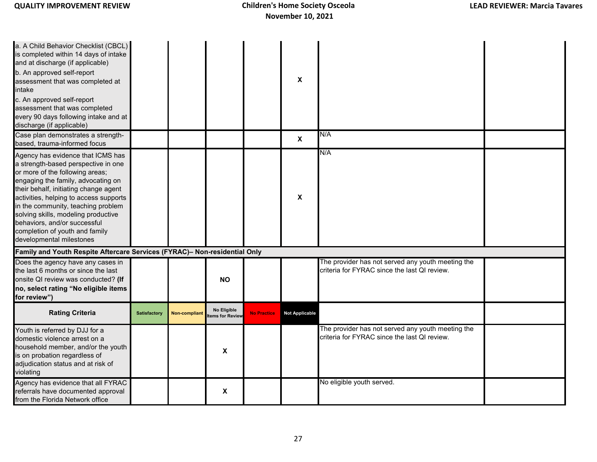| a. A Child Behavior Checklist (CBCL)<br>is completed within 14 days of intake<br>and at discharge (if applicable)<br>b. An approved self-report<br>assessment that was completed at<br>intake<br>c. An approved self-report<br>assessment that was completed<br>every 90 days following intake and at<br>discharge (if applicable)<br>Case plan demonstrates a strength-                                        |                     |                      |                                |                    | X                         | N/A                                                                                               |  |
|-----------------------------------------------------------------------------------------------------------------------------------------------------------------------------------------------------------------------------------------------------------------------------------------------------------------------------------------------------------------------------------------------------------------|---------------------|----------------------|--------------------------------|--------------------|---------------------------|---------------------------------------------------------------------------------------------------|--|
| based, trauma-informed focus                                                                                                                                                                                                                                                                                                                                                                                    |                     |                      |                                |                    | $\boldsymbol{\mathsf{x}}$ |                                                                                                   |  |
| Agency has evidence that ICMS has<br>a strength-based perspective in one<br>or more of the following areas;<br>engaging the family, advocating on<br>their behalf, initiating change agent<br>activities, helping to access supports<br>in the community, teaching problem<br>solving skills, modeling productive<br>behaviors, and/or successful<br>completion of youth and family<br>developmental milestones |                     |                      |                                |                    | X                         | N/A                                                                                               |  |
| Family and Youth Respite Aftercare Services (FYRAC)- Non-residential Only                                                                                                                                                                                                                                                                                                                                       |                     |                      |                                |                    |                           |                                                                                                   |  |
| Does the agency have any cases in<br>the last 6 months or since the last<br>onsite QI review was conducted? (If<br>no, select rating "No eligible items<br>for review")                                                                                                                                                                                                                                         |                     |                      | <b>NO</b>                      |                    |                           | The provider has not served any youth meeting the<br>criteria for FYRAC since the last QI review. |  |
| <b>Rating Criteria</b>                                                                                                                                                                                                                                                                                                                                                                                          | <b>Satisfactory</b> | <b>Non-compliant</b> | No Eligible<br>tems for Review | <b>No Practice</b> | <b>Not Applicable</b>     |                                                                                                   |  |
| Youth is referred by DJJ for a<br>domestic violence arrest on a<br>household member, and/or the youth<br>is on probation regardless of<br>adjudication status and at risk of<br>violating                                                                                                                                                                                                                       |                     |                      | X                              |                    |                           | The provider has not served any youth meeting the<br>criteria for FYRAC since the last QI review. |  |
| Agency has evidence that all FYRAC<br>referrals have documented approval<br>from the Florida Network office                                                                                                                                                                                                                                                                                                     |                     |                      | X                              |                    |                           | No eligible youth served.                                                                         |  |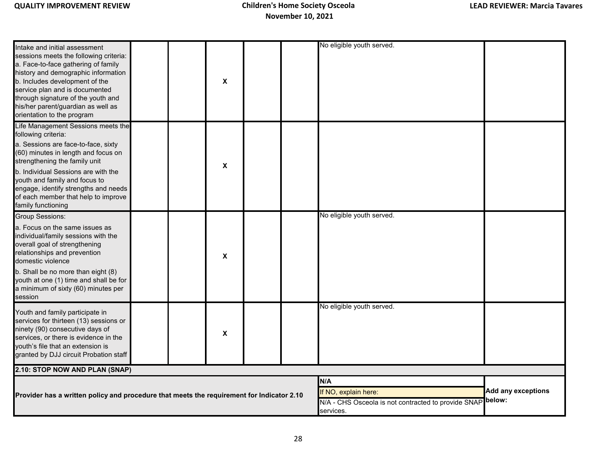| Intake and initial assessment<br>sessions meets the following criteria:<br>a. Face-to-face gathering of family<br>history and demographic information<br>b. Includes development of the<br>service plan and is documented<br>through signature of the youth and<br>his/her parent/guardian as well as<br>orientation to the program                   |  | X                                                                                               |                              | No eligible youth served. |  |
|-------------------------------------------------------------------------------------------------------------------------------------------------------------------------------------------------------------------------------------------------------------------------------------------------------------------------------------------------------|--|-------------------------------------------------------------------------------------------------|------------------------------|---------------------------|--|
| Life Management Sessions meets the<br>following criteria:<br>a. Sessions are face-to-face, sixty<br>(60) minutes in length and focus on<br>strengthening the family unit<br>b. Individual Sessions are with the<br>youth and family and focus to<br>engage, identify strengths and needs<br>of each member that help to improve<br>family functioning |  | X                                                                                               |                              |                           |  |
| <b>Group Sessions:</b><br>a. Focus on the same issues as<br>individual/family sessions with the<br>overall goal of strengthening<br>relationships and prevention<br>domestic violence<br>b. Shall be no more than eight (8)<br>youth at one (1) time and shall be for<br>a minimum of sixty (60) minutes per<br>session                               |  | X                                                                                               |                              | No eligible youth served. |  |
| Youth and family participate in<br>services for thirteen (13) sessions or<br>ninety (90) consecutive days of<br>services, or there is evidence in the<br>youth's file that an extension is<br>granted by DJJ circuit Probation staff                                                                                                                  |  | $\boldsymbol{\mathsf{x}}$                                                                       |                              | No eligible youth served. |  |
| 2.10: STOP NOW AND PLAN (SNAP)                                                                                                                                                                                                                                                                                                                        |  |                                                                                                 |                              |                           |  |
| Provider has a written policy and procedure that meets the requirement for Indicator 2.10                                                                                                                                                                                                                                                             |  | N/A<br>If NO, explain here:<br>N/A - CHS Osceola is not contracted to provide SNAP<br>services. | Add any exceptions<br>below: |                           |  |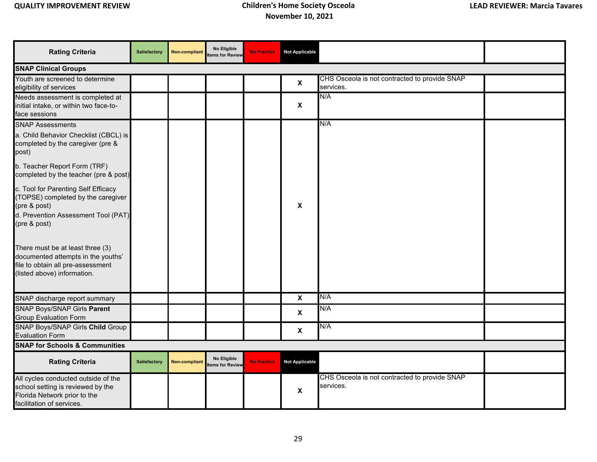| <b>Rating Criteria</b>                                                                                                                           | <b>Satisfactory</b> | <b>Non-compliant</b> | No Eligible<br>tems for Review         | <b>No Practice</b> | <b>Not Applicable</b>     |                                                            |  |
|--------------------------------------------------------------------------------------------------------------------------------------------------|---------------------|----------------------|----------------------------------------|--------------------|---------------------------|------------------------------------------------------------|--|
| <b>SNAP Clinical Groups</b>                                                                                                                      |                     |                      |                                        |                    |                           |                                                            |  |
| Youth are screened to determine<br>eligibility of services                                                                                       |                     |                      |                                        |                    | $\pmb{\mathsf{X}}$        | CHS Osceola is not contracted to provide SNAP<br>services. |  |
| Needs assessment is completed at<br>initial intake, or within two face-to-<br>face sessions                                                      |                     |                      |                                        |                    | $\mathbf{x}$              | N/A                                                        |  |
| <b>SNAP Assessments</b>                                                                                                                          |                     |                      |                                        |                    |                           | N/A                                                        |  |
| a. Child Behavior Checklist (CBCL) is<br>completed by the caregiver (pre &<br>post)                                                              |                     |                      |                                        |                    |                           |                                                            |  |
| b. Teacher Report Form (TRF)<br>completed by the teacher (pre & post)                                                                            |                     |                      |                                        |                    |                           |                                                            |  |
| c. Tool for Parenting Self Efficacy<br>(TOPSE) completed by the caregiver<br>(pre & post)<br>d. Prevention Assessment Tool (PAT)<br>(pre & post) |                     |                      |                                        |                    | X                         |                                                            |  |
| There must be at least three (3)<br>documented attempts in the youths'<br>file to obtain all pre-assessment<br>(listed above) information.       |                     |                      |                                        |                    |                           |                                                            |  |
| SNAP discharge report summary                                                                                                                    |                     |                      |                                        |                    | $\boldsymbol{\mathsf{X}}$ | N/A                                                        |  |
| SNAP Boys/SNAP Girls Parent<br><b>Group Evaluation Form</b>                                                                                      |                     |                      |                                        |                    | $\boldsymbol{\mathsf{X}}$ | N/A                                                        |  |
| <b>SNAP Boys/SNAP Girls Child Group</b>                                                                                                          |                     |                      |                                        |                    | $\boldsymbol{\mathsf{X}}$ | N/A                                                        |  |
| <b>Evaluation Form</b>                                                                                                                           |                     |                      |                                        |                    |                           |                                                            |  |
| <b>SNAP for Schools &amp; Communities</b>                                                                                                        |                     |                      |                                        |                    |                           |                                                            |  |
| <b>Rating Criteria</b>                                                                                                                           | <b>Satisfactory</b> | <b>Non-compliant</b> | No Eligible<br><b>Items for Review</b> | <b>No Practice</b> | <b>Not Applicable</b>     |                                                            |  |
| All cycles conducted outside of the<br>school setting is reviewed by the<br>Florida Network prior to the<br>facilitation of services.            |                     |                      |                                        |                    | $\boldsymbol{\mathsf{X}}$ | CHS Osceola is not contracted to provide SNAP<br>services. |  |